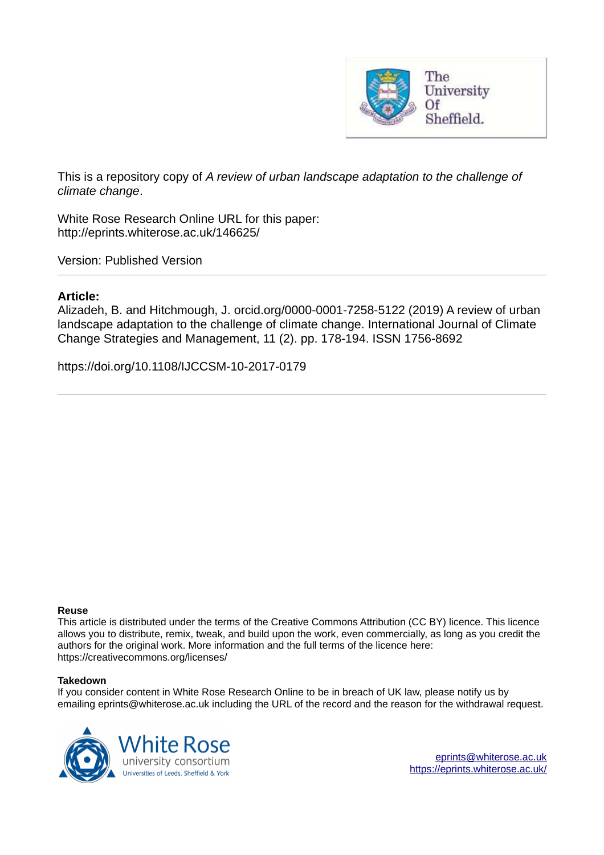

This is a repository copy of *A review of urban landscape adaptation to the challenge of climate change*.

White Rose Research Online URL for this paper: http://eprints.whiterose.ac.uk/146625/

Version: Published Version

## **Article:**

Alizadeh, B. and Hitchmough, J. orcid.org/0000-0001-7258-5122 (2019) A review of urban landscape adaptation to the challenge of climate change. International Journal of Climate Change Strategies and Management, 11 (2). pp. 178-194. ISSN 1756-8692

https://doi.org/10.1108/IJCCSM-10-2017-0179

## **Reuse**

This article is distributed under the terms of the Creative Commons Attribution (CC BY) licence. This licence allows you to distribute, remix, tweak, and build upon the work, even commercially, as long as you credit the authors for the original work. More information and the full terms of the licence here: https://creativecommons.org/licenses/

## **Takedown**

If you consider content in White Rose Research Online to be in breach of UK law, please notify us by emailing eprints@whiterose.ac.uk including the URL of the record and the reason for the withdrawal request.

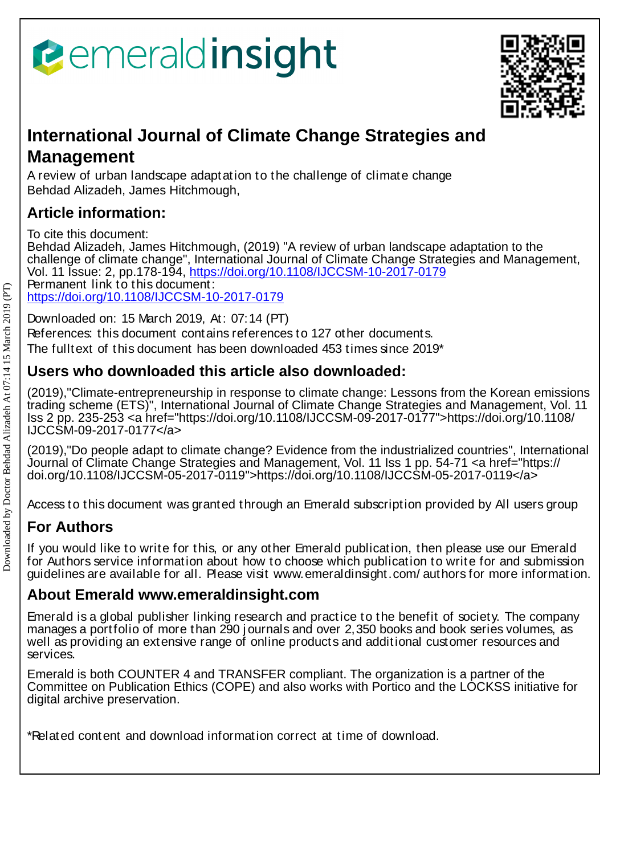



# **International Journal of Climate Change Strategies and Management**

A review of urban landscape adaptation to the challenge of climate change Behdad Alizadeh, James Hitchmough,

## **Article information:**

To cite this document:

Behdad Alizadeh, James Hitchmough, (2019) "A review of urban landscape adaptation to the challenge of climate change", International Journal of Climate Change Strategies and Management, Vol. 11 Issue: 2, pp.178-194, <https://doi.org/10.1108/IJCCSM-10-2017-0179> Permanent link to this document: <https://doi.org/10.1108/IJCCSM-10-2017-0179>

Downloaded on: 15 March 2019, At: 07:14 (PT)

References: this document contains references to 127 other documents. The fulltext of this document has been downloaded 453 times since 2019\*

## **Users who downloaded this article also downloaded:**

(2019),"Climate-entrepreneurship in response to climate change: Lessons from the Korean emissions trading scheme (ETS)", International Journal of Climate Change Strategies and Management, Vol. 11 Iss 2 pp. 235-253 <a href="https://doi.org/10.1108/IJCCSM-09-2017-0177">https://doi.org/10.1108/ IJCCSM-09-2017-0177</a>

(2019),"Do people adapt to climate change? Evidence from the industrialized countries", International Journal of Climate Change Strategies and Management, Vol. 11 Iss 1 pp. 54-71 <a href="https:// doi.org/10.1108/IJCCSM-05-2017-0119">https://doi.org/10.1108/IJCCSM-05-2017-0119</a>

Access to this document was granted through an Emerald subscription provided by All users group

## **For Authors**

If you would like to write for this, or any other Emerald publication, then please use our Emerald for Authors service information about how to choose which publication to write for and submission guidelines are available for all. Please visit www.emeraldinsight.com/ authors for more information.

## **About Emerald www.emeraldinsight.com**

Emerald is a global publisher linking research and practice to the benefit of society. The company manages a portfolio of more than 290 journals and over 2,350 books and book series volumes, as well as providing an extensive range of online products and additional customer resources and services.

Emerald is both COUNTER 4 and TRANSFER compliant. The organization is a partner of the Committee on Publication Ethics (COPE) and also works with Portico and the LOCKSS initiative for digital archive preservation.

\*Related content and download information correct at time of download.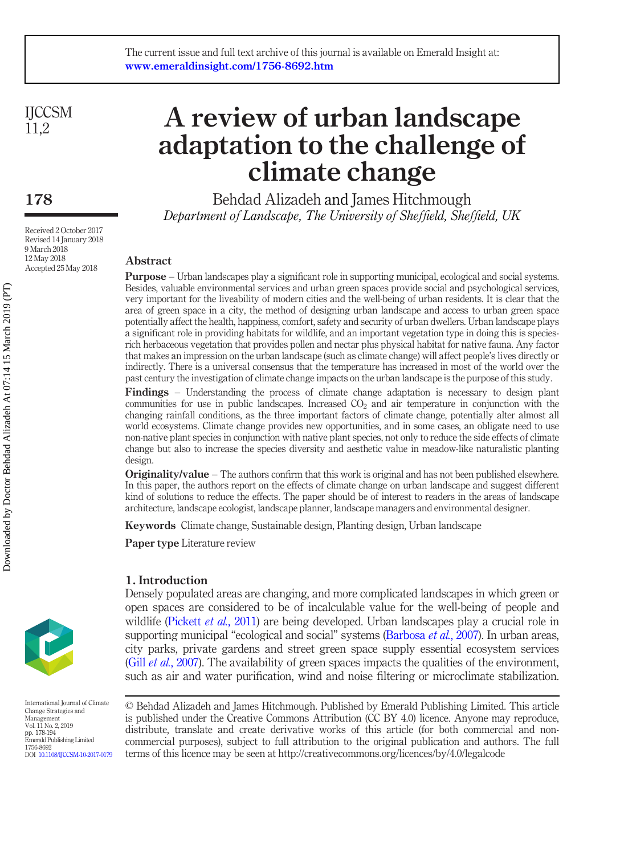**IJCCSM** 11,2

## 178

Received 2 October 2017 Revised 14 January 2018 9 March 2018 12 May 2018 Accepted 25 May 2018

# A review of urban landscape adaptation to the challenge of climate change

Behdad Alizadeh and James Hitchmough Department of Landscape, The University of Sheffield, Sheffield, UK

#### Abstract

**Purpose** – Urban landscapes play a significant role in supporting municipal, ecological and social systems. Besides, valuable environmental services and urban green spaces provide social and psychological services, very important for the liveability of modern cities and the well-being of urban residents. It is clear that the area of green space in a city, the method of designing urban landscape and access to urban green space potentially affect the health, happiness, comfort, safety and security of urban dwellers. Urban landscape plays a significant role in providing habitats for wildlife, and an important vegetation type in doing this is speciesrich herbaceous vegetation that provides pollen and nectar plus physical habitat for native fauna. Any factor that makes an impression on the urban landscape (such as climate change) will affect people's lives directly or indirectly. There is a universal consensus that the temperature has increased in most of the world over the past century the investigation of climate change impacts on the urban landscape is the purpose of this study.

Findings – Understanding the process of climate change adaptation is necessary to design plant communities for use in public landscapes. Increased  $CO<sub>2</sub>$  and air temperature in conjunction with the changing rainfall conditions, as the three important factors of climate change, potentially alter almost all world ecosystems. Climate change provides new opportunities, and in some cases, an obligate need to use non-native plant species in conjunction with native plant species, not only to reduce the side effects of climate change but also to increase the species diversity and aesthetic value in meadow-like naturalistic planting design.

Originality/value – The authors confirm that this work is original and has not been published elsewhere. In this paper, the authors report on the effects of climate change on urban landscape and suggest different kind of solutions to reduce the effects. The paper should be of interest to readers in the areas of landscape architecture, landscape ecologist, landscape planner, landscape managers and environmental designer.

Keywords Climate change, Sustainable design, Planting design, Urban landscape

Paper type Literature review

#### 1. Introduction

Densely populated areas are changing, and more complicated landscapes in which green or open spaces are considered to be of incalculable value for the well-being of people and wildlife ([Pickett](#page-15-0) *et al.*, 2011) are being developed. Urban landscapes play a crucial role in supporting municipal "ecological and social" systems [\(Barbosa](#page-11-0) et al., 2007). In urban areas, city parks, private gardens and street green space supply essential ecosystem services (Gill *et al.*[, 2007](#page-13-0)). The availability of green spaces impacts the qualities of the environment, such as air and water purification, wind and noise filtering or microclimate stabilization.

International Journal of Climate Change Strategies and Management Vol. 11 No. 2, 2019 pp. 178-194 Emerald Publishing Limited 1756-8692 DOI [10.1108/IJCCSM-10-2017-0179](http://dx.doi.org/10.1108/IJCCSM-10-2017-0179)

© Behdad Alizadeh and James Hitchmough. Published by Emerald Publishing Limited. This article is published under the Creative Commons Attribution (CC BY 4.0) licence. Anyone may reproduce, distribute, translate and create derivative works of this article (for both commercial and noncommercial purposes), subject to full attribution to the original publication and authors. The full terms of this licence may be seen at http://creativecommons.org/licences/by/4.0/legalcode

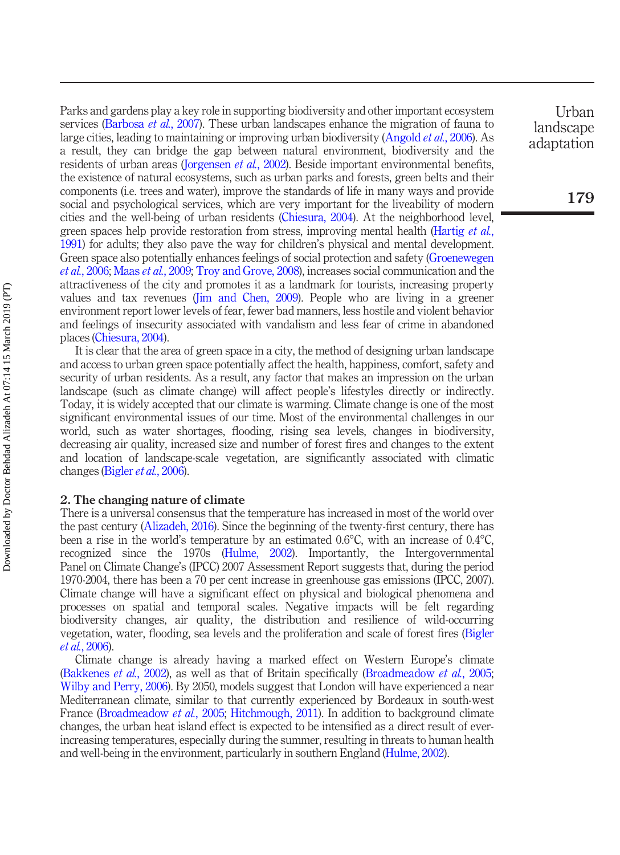Parks and gardens play a key role in supporting biodiversity and other important ecosystem services ([Barbosa](#page-11-0) *et al.*, 2007). These urban landscapes enhance the migration of fauna to large cities, leading to maintaining or improving urban biodiversity [\(Angold](#page-11-1) *et al.*, 2006). As a result, they can bridge the gap between natural environment, biodiversity and the residents of urban areas ([Jorgensen](#page-14-0) *et al.*, 2002). Beside important environmental benefits, the existence of natural ecosystems, such as urban parks and forests, green belts and their components (i.e. trees and water), improve the standards of life in many ways and provide social and psychological services, which are very important for the liveability of modern cities and the well-being of urban residents [\(Chiesura, 2004\)](#page-12-0). At the neighborhood level, green spaces help provide restoration from stress, improving mental health [\(Hartig](#page-13-1) et al., [1991\)](#page-13-1) for adults; they also pave the way for children's physical and mental development. Green space also potentially enhances feelings of social protection and safety ([Groenewegen](#page-13-2) et al.[, 2006;](#page-13-2) Maas et al.[, 2009](#page-14-1); [Troy and Grove, 2008](#page-16-0)), increases social communication and the attractiveness of the city and promotes it as a landmark for tourists, increasing property values and tax revenues ([Jim and Chen, 2009](#page-13-3)). People who are living in a greener environment report lower levels of fear, fewer bad manners, less hostile and violent behavior and feelings of insecurity associated with vandalism and less fear of crime in abandoned places ([Chiesura, 2004](#page-12-0)).

It is clear that the area of green space in a city, the method of designing urban landscape and access to urban green space potentially affect the health, happiness, comfort, safety and security of urban residents. As a result, any factor that makes an impression on the urban landscape (such as climate change) will affect people's lifestyles directly or indirectly. Today, it is widely accepted that our climate is warming. Climate change is one of the most significant environmental issues of our time. Most of the environmental challenges in our world, such as water shortages, flooding, rising sea levels, changes in biodiversity, decreasing air quality, increased size and number of forest fires and changes to the extent and location of landscape-scale vegetation, are significantly associated with climatic changes [\(Bigler](#page-12-1) *et al.*, 2006).

#### 2. The changing nature of climate

There is a universal consensus that the temperature has increased in most of the world over the past century [\(Alizadeh, 2016](#page-11-2)). Since the beginning of the twenty-first century, there has been a rise in the world's temperature by an estimated 0.6°C, with an increase of 0.4°C, recognized since the 1970s ([Hulme, 2002](#page-13-4)). Importantly, the Intergovernmental Panel on Climate Change's (IPCC) 2007 Assessment Report suggests that, during the period 1970-2004, there has been a 70 per cent increase in greenhouse gas emissions (IPCC, 2007). Climate change will have a significant effect on physical and biological phenomena and processes on spatial and temporal scales. Negative impacts will be felt regarding biodiversity changes, air quality, the distribution and resilience of wild-occurring vegetation, water, flooding, sea levels and the proliferation and scale of forest fires [\(Bigler](#page-12-1) et al.[, 2006](#page-12-1)).

Climate change is already having a marked effect on Western Europe's climate [\(Bakkenes](#page-11-3) *et al.*, 2002), as well as that of Britain specifically [\(Broadmeadow](#page-12-2) *et al.*, 2005; [Wilby and Perry, 2006](#page-16-1)). By 2050, models suggest that London will have experienced a near Mediterranean climate, similar to that currently experienced by Bordeaux in south-west France [\(Broadmeadow](#page-12-2) *et al.*, 2005; [Hitchmough, 2011](#page-13-5)). In addition to background climate changes, the urban heat island effect is expected to be intensified as a direct result of everincreasing temperatures, especially during the summer, resulting in threats to human health and well-being in the environment, particularly in southern England [\(Hulme, 2002](#page-13-4)).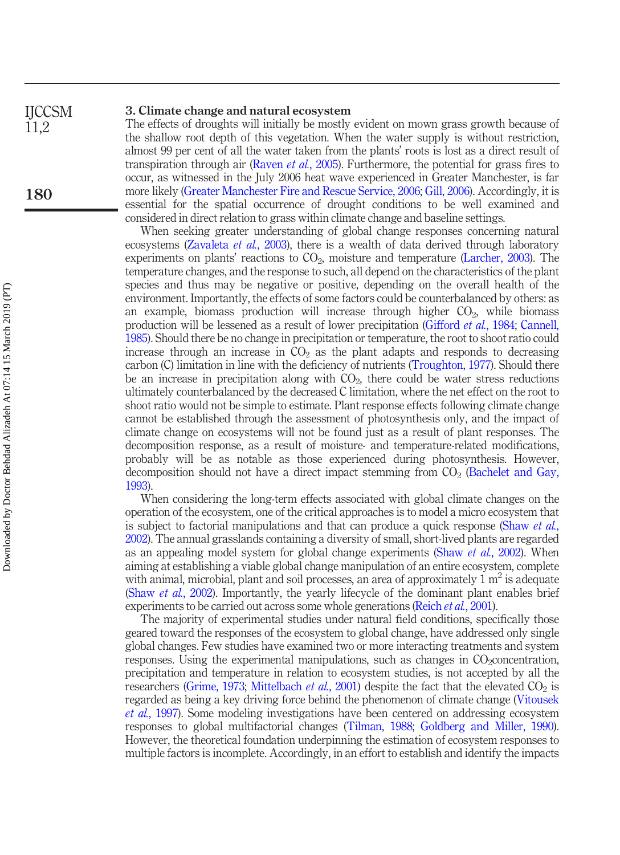#### 3. Climate change and natural ecosystem **IJCCSM**

The effects of droughts will initially be mostly evident on mown grass growth because of the shallow root depth of this vegetation. When the water supply is without restriction, almost 99 per cent of all the water taken from the plants' roots is lost as a direct result of transpiration through air [\(Raven](#page-15-1) *et al.*, 2005). Furthermore, the potential for grass fires to occur, as witnessed in the July 2006 heat wave experienced in Greater Manchester, is far more likely [\(Greater Manchester Fire and Rescue Service, 2006](#page-13-6); [Gill, 2006\)](#page-12-3). Accordingly, it is essential for the spatial occurrence of drought conditions to be well examined and considered in direct relation to grass within climate change and baseline settings.

When seeking greater understanding of global change responses concerning natural ecosystems [\(Zavaleta](#page-16-2) *et al.*, 2003), there is a wealth of data derived through laboratory experiments on plants' reactions to  $CO<sub>2</sub>$ , moisture and temperature [\(Larcher, 2003\)](#page-14-2). The temperature changes, and the response to such, all depend on the characteristics of the plant species and thus may be negative or positive, depending on the overall health of the environment. Importantly, the effects of some factors could be counterbalanced by others: as an example, biomass production will increase through higher  $CO<sub>2</sub>$ , while biomass production will be lessened as a result of lower precipitation ([Gifford](#page-12-4) et al., 1984; [Cannell,](#page-12-5) [1985](#page-12-5)). Should there be no change in precipitation or temperature, the root to shoot ratio could increase through an increase in  $CO<sub>2</sub>$  as the plant adapts and responds to decreasing carbon (C) limitation in line with the deficiency of nutrients ([Troughton, 1977\)](#page-16-3). Should there be an increase in precipitation along with  $CO<sub>2</sub>$ , there could be water stress reductions ultimately counterbalanced by the decreased C limitation, where the net effect on the root to shoot ratio would not be simple to estimate. Plant response effects following climate change cannot be established through the assessment of photosynthesis only, and the impact of climate change on ecosystems will not be found just as a result of plant responses. The decomposition response, as a result of moisture- and temperature-related modifications, probably will be as notable as those experienced during photosynthesis. However, decomposition should not have a direct impact stemming from  $CO<sub>2</sub>$  [\(Bachelet and Gay,](#page-11-4) [1993](#page-11-4)).

When considering the long-term effects associated with global climate changes on the operation of the ecosystem, one of the critical approaches is to model a micro ecosystem that is subject to factorial manipulations and that can produce a quick response [\(Shaw](#page-15-2) *et al.*, [2002](#page-15-2)). The annual grasslands containing a diversity of small, short-lived plants are regarded as an appealing model system for global change experiments (Shaw et al.[, 2002](#page-15-2)). When aiming at establishing a viable global change manipulation of an entire ecosystem, complete with animal, microbial, plant and soil processes, an area of approximately  $1 \text{ m}^2$  is adequate (Shaw *et al.*[, 2002](#page-15-2)). Importantly, the yearly lifecycle of the dominant plant enables brief experiments to be carried out across some whole generations (Reich *et al.*[, 2001\)](#page-15-3).

The majority of experimental studies under natural field conditions, specifically those geared toward the responses of the ecosystem to global change, have addressed only single global changes. Few studies have examined two or more interacting treatments and system responses. Using the experimental manipulations, such as changes in  $CO_2$ concentration, precipitation and temperature in relation to ecosystem studies, is not accepted by all the researchers [\(Grime, 1973;](#page-13-7) [Mittelbach](#page-14-3) *et al.*, 2001) despite the fact that the elevated  $CO_2$  is regarded as being a key driving force behind the phenomenon of climate change [\(Vitousek](#page-16-4) et al.[, 1997\)](#page-16-4). Some modeling investigations have been centered on addressing ecosystem responses to global multifactorial changes [\(Tilman, 1988](#page-16-5); [Goldberg and Miller, 1990\)](#page-13-8). However, the theoretical foundation underpinning the estimation of ecosystem responses to multiple factors is incomplete. Accordingly, in an effort to establish and identify the impacts

11,2

180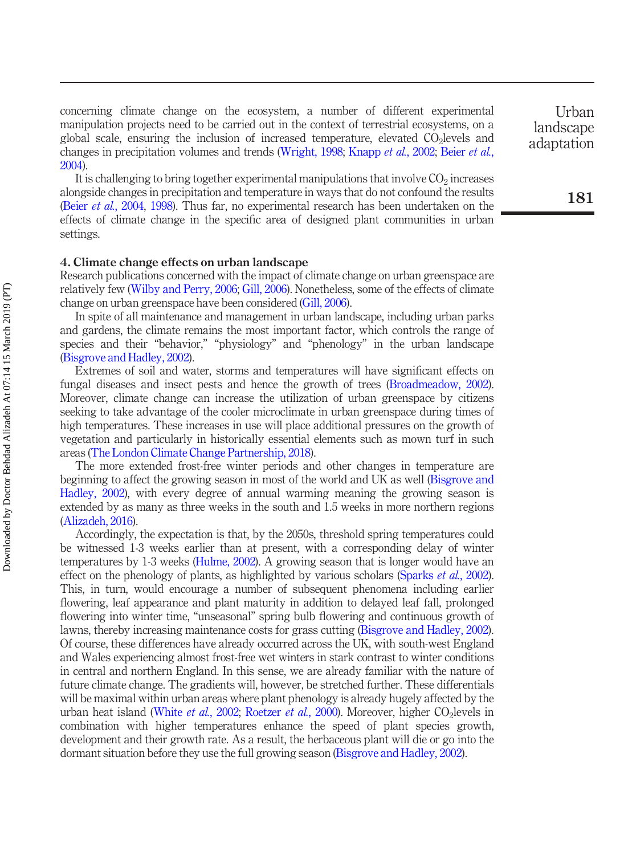concerning climate change on the ecosystem, a number of different experimental manipulation projects need to be carried out in the context of terrestrial ecosystems, on a global scale, ensuring the inclusion of increased temperature, elevated CO<sub>2</sub>levels and changes in precipitation volumes and trends [\(Wright, 1998;](#page-16-6) [Knapp](#page-14-4) *et al.*, 2002; [Beier](#page-11-5) *et al.*, [2004\)](#page-11-5).

It is challenging to bring together experimental manipulations that involve  $\mathrm{CO}_2$  increases alongside changes in precipitation and temperature in ways that do not confound the results (Beier *et al.*[, 2004](#page-11-5), [1998](#page-11-6)). Thus far, no experimental research has been undertaken on the effects of climate change in the specific area of designed plant communities in urban settings.

#### 4. Climate change effects on urban landscape

Research publications concerned with the impact of climate change on urban greenspace are relatively few [\(Wilby and Perry, 2006;](#page-16-1) [Gill, 2006](#page-12-3)). Nonetheless, some of the effects of climate change on urban greenspace have been considered ([Gill, 2006\)](#page-12-3).

In spite of all maintenance and management in urban landscape, including urban parks and gardens, the climate remains the most important factor, which controls the range of species and their "behavior," "physiology" and "phenology" in the urban landscape [\(Bisgrove and Hadley, 2002](#page-12-6)).

Extremes of soil and water, storms and temperatures will have significant effects on fungal diseases and insect pests and hence the growth of trees ([Broadmeadow, 2002\)](#page-12-7). Moreover, climate change can increase the utilization of urban greenspace by citizens seeking to take advantage of the cooler microclimate in urban greenspace during times of high temperatures. These increases in use will place additional pressures on the growth of vegetation and particularly in historically essential elements such as mown turf in such areas [\(The London Climate Change Partnership, 2018](#page-15-4)).

The more extended frost-free winter periods and other changes in temperature are beginning to affect the growing season in most of the world and UK as well ([Bisgrove and](#page-12-6) [Hadley, 2002\)](#page-12-6), with every degree of annual warming meaning the growing season is extended by as many as three weeks in the south and 1.5 weeks in more northern regions [\(Alizadeh, 2016\)](#page-11-2).

Accordingly, the expectation is that, by the 2050s, threshold spring temperatures could be witnessed 1-3 weeks earlier than at present, with a corresponding delay of winter temperatures by 1-3 weeks ([Hulme, 2002](#page-13-4)). A growing season that is longer would have an effect on the phenology of plants, as highlighted by various scholars ([Sparks](#page-15-5) *et al.*, 2002). This, in turn, would encourage a number of subsequent phenomena including earlier flowering, leaf appearance and plant maturity in addition to delayed leaf fall, prolonged flowering into winter time, "unseasonal" spring bulb flowering and continuous growth of lawns, thereby increasing maintenance costs for grass cutting [\(Bisgrove and Hadley, 2002\)](#page-12-6). Of course, these differences have already occurred across the UK, with south-west England and Wales experiencing almost frost-free wet winters in stark contrast to winter conditions in central and northern England. In this sense, we are already familiar with the nature of future climate change. The gradients will, however, be stretched further. These differentials will be maximal within urban areas where plant phenology is already hugely affected by the urban heat island [\(White](#page-16-7) et al., 2002; [Roetzer](#page-15-6) et al., 2000). Moreover, higher CO<sub>2</sub>levels in combination with higher temperatures enhance the speed of plant species growth, development and their growth rate. As a result, the herbaceous plant will die or go into the dormant situation before they use the full growing season [\(Bisgrove and Hadley, 2002\)](#page-12-6).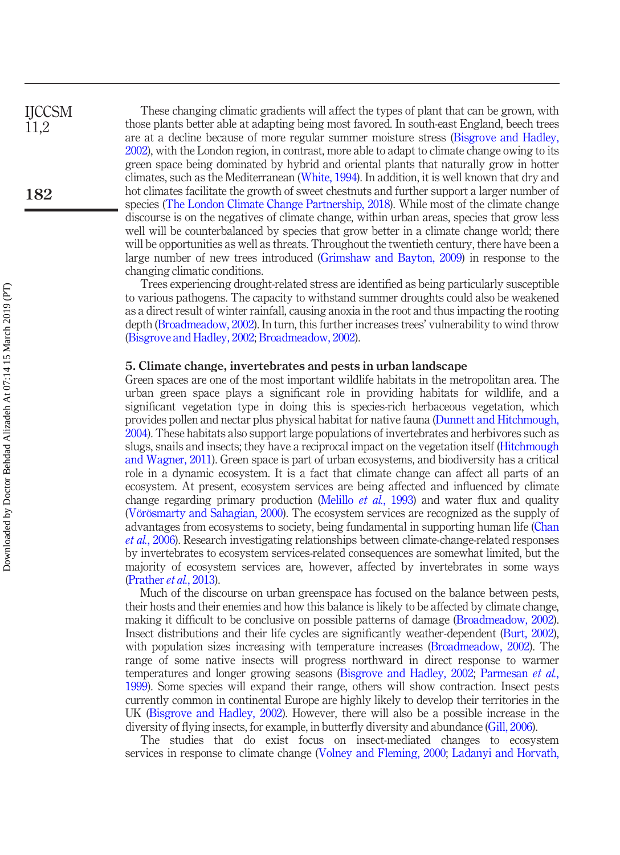These changing climatic gradients will affect the types of plant that can be grown, with those plants better able at adapting being most favored. In south-east England, beech trees are at a decline because of more regular summer moisture stress [\(Bisgrove and Hadley,](#page-12-6) [2002](#page-12-6)), with the London region, in contrast, more able to adapt to climate change owing to its green space being dominated by hybrid and oriental plants that naturally grow in hotter climates, such as the Mediterranean [\(White, 1994](#page-16-8)). In addition, it is well known that dry and hot climates facilitate the growth of sweet chestnuts and further support a larger number of species ([The London Climate Change Partnership, 2018](#page-15-4)). While most of the climate change discourse is on the negatives of climate change, within urban areas, species that grow less well will be counterbalanced by species that grow better in a climate change world; there will be opportunities as well as threats. Throughout the twentieth century, there have been a large number of new trees introduced [\(Grimshaw and Bayton, 2009\)](#page-13-9) in response to the changing climatic conditions.

Trees experiencing drought-related stress are identified as being particularly susceptible to various pathogens. The capacity to withstand summer droughts could also be weakened as a direct result of winter rainfall, causing anoxia in the root and thus impacting the rooting depth ([Broadmeadow, 2002](#page-12-7)). In turn, this further increases trees' vulnerability to wind throw [\(Bisgrove and Hadley, 2002](#page-12-6); [Broadmeadow, 2002\)](#page-12-7).

#### 5. Climate change, invertebrates and pests in urban landscape

Green spaces are one of the most important wildlife habitats in the metropolitan area. The urban green space plays a significant role in providing habitats for wildlife, and a significant vegetation type in doing this is species-rich herbaceous vegetation, which provides pollen and nectar plus physical habitat for native fauna ([Dunnett and Hitchmough,](#page-12-8) [2004](#page-12-8)). These habitats also support large populations of invertebrates and herbivores such as slugs, snails and insects; they have a reciprocal impact on the vegetation itself [\(Hitchmough](#page-13-10) [and Wagner, 2011\)](#page-13-10). Green space is part of urban ecosystems, and biodiversity has a critical role in a dynamic ecosystem. It is a fact that climate change can affect all parts of an ecosystem. At present, ecosystem services are being affected and influenced by climate change regarding primary production [\(Melillo](#page-14-5) *et al.*, 1993) and water flux and quality [\(Vörösmarty and Sahagian, 2000](#page-16-9)). The ecosystem services are recognized as the supply of advantages from ecosystems to society, being fundamental in supporting human life [\(Chan](#page-12-9) et al.[, 2006](#page-12-9)). Research investigating relationships between climate-change-related responses by invertebrates to ecosystem services-related consequences are somewhat limited, but the majority of ecosystem services are, however, affected by invertebrates in some ways [\(Prather](#page-15-7) et al., 2013).

Much of the discourse on urban greenspace has focused on the balance between pests, their hosts and their enemies and how this balance is likely to be affected by climate change, making it difficult to be conclusive on possible patterns of damage [\(Broadmeadow, 2002\)](#page-12-7). Insect distributions and their life cycles are significantly weather-dependent ([Burt, 2002\)](#page-12-10), with population sizes increasing with temperature increases [\(Broadmeadow, 2002](#page-12-7)). The range of some native insects will progress northward in direct response to warmer temperatures and longer growing seasons ([Bisgrove and Hadley, 2002;](#page-12-6) [Parmesan](#page-15-8) et al., [1999](#page-15-8)). Some species will expand their range, others will show contraction. Insect pests currently common in continental Europe are highly likely to develop their territories in the UK ([Bisgrove and Hadley, 2002\)](#page-12-6). However, there will also be a possible increase in the diversity of flying insects, for example, in butterfly diversity and abundance ([Gill, 2006\)](#page-12-3).

The studies that do exist focus on insect-mediated changes to ecosystem services in response to climate change [\(Volney and Fleming, 2000;](#page-16-10) [Ladanyi and Horvath,](#page-14-6)

**IJCCSM** 11,2

182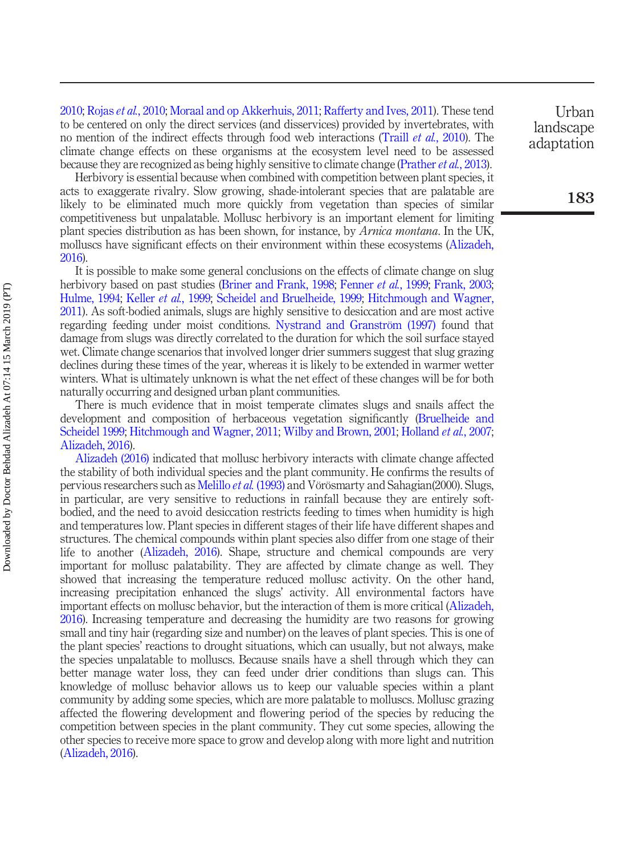[2010;](#page-14-6) Rojas et al.[, 2010](#page-15-9); [Moraal and op Akkerhuis, 2011;](#page-14-7) [Rafferty and Ives, 2011\)](#page-15-10). These tend to be centered on only the direct services (and disservices) provided by invertebrates, with no mention of the indirect effects through food web interactions (Traill et al.[, 2010](#page-16-11)). The climate change effects on these organisms at the ecosystem level need to be assessed because they are recognized as being highly sensitive to climate change ([Prather](#page-15-7) *et al.*, 2013).

Herbivory is essential because when combined with competition between plant species, it acts to exaggerate rivalry. Slow growing, shade-intolerant species that are palatable are likely to be eliminated much more quickly from vegetation than species of similar competitiveness but unpalatable. Mollusc herbivory is an important element for limiting plant species distribution as has been shown, for instance, by Arnica montana. In the UK, molluscs have significant effects on their environment within these ecosystems [\(Alizadeh,](#page-11-2) [2016\)](#page-11-2).

It is possible to make some general conclusions on the effects of climate change on slug herbivory based on past studies ([Briner and Frank, 1998](#page-12-11); [Fenner](#page-12-12) *et al.*, 1999; [Frank, 2003](#page-12-13); [Hulme, 1994;](#page-13-11) Keller *et al.*[, 1999;](#page-14-8) [Scheidel and Bruelheide, 1999;](#page-15-11) [Hitchmough and Wagner,](#page-13-10) [2011\)](#page-13-10). As soft-bodied animals, slugs are highly sensitive to desiccation and are most active regarding feeding under moist conditions. [Nystrand and Granström \(1997\)](#page-14-9) found that damage from slugs was directly correlated to the duration for which the soil surface stayed wet. Climate change scenarios that involved longer drier summers suggest that slug grazing declines during these times of the year, whereas it is likely to be extended in warmer wetter winters. What is ultimately unknown is what the net effect of these changes will be for both naturally occurring and designed urban plant communities.

There is much evidence that in moist temperate climates slugs and snails affect the development and composition of herbaceous vegetation significantly [\(Bruelheide and](#page-12-14) [Scheidel 1999](#page-12-14); [Hitchmough and Wagner, 2011](#page-13-10); [Wilby and Brown, 2001](#page-16-12); [Holland](#page-13-12) et al., 2007; [Alizadeh, 2016](#page-11-2)).

[Alizadeh \(2016\)](#page-11-2) indicated that mollusc herbivory interacts with climate change affected the stability of both individual species and the plant community. He confirms the results of pervious researchers such as [Melillo](#page-14-5) et al. (1993) and Vörösmarty and Sahagian(2000). Slugs, in particular, are very sensitive to reductions in rainfall because they are entirely softbodied, and the need to avoid desiccation restricts feeding to times when humidity is high and temperatures low. Plant species in different stages of their life have different shapes and structures. The chemical compounds within plant species also differ from one stage of their life to another [\(Alizadeh, 2016\)](#page-11-2). Shape, structure and chemical compounds are very important for mollusc palatability. They are affected by climate change as well. They showed that increasing the temperature reduced mollusc activity. On the other hand, increasing precipitation enhanced the slugs' activity. All environmental factors have important effects on mollusc behavior, but the interaction of them is more critical [\(Alizadeh,](#page-11-2) [2016\)](#page-11-2). Increasing temperature and decreasing the humidity are two reasons for growing small and tiny hair (regarding size and number) on the leaves of plant species. This is one of the plant species' reactions to drought situations, which can usually, but not always, make the species unpalatable to molluscs. Because snails have a shell through which they can better manage water loss, they can feed under drier conditions than slugs can. This knowledge of mollusc behavior allows us to keep our valuable species within a plant community by adding some species, which are more palatable to molluscs. Mollusc grazing affected the flowering development and flowering period of the species by reducing the competition between species in the plant community. They cut some species, allowing the other species to receive more space to grow and develop along with more light and nutrition [\(Alizadeh, 2016\)](#page-11-2).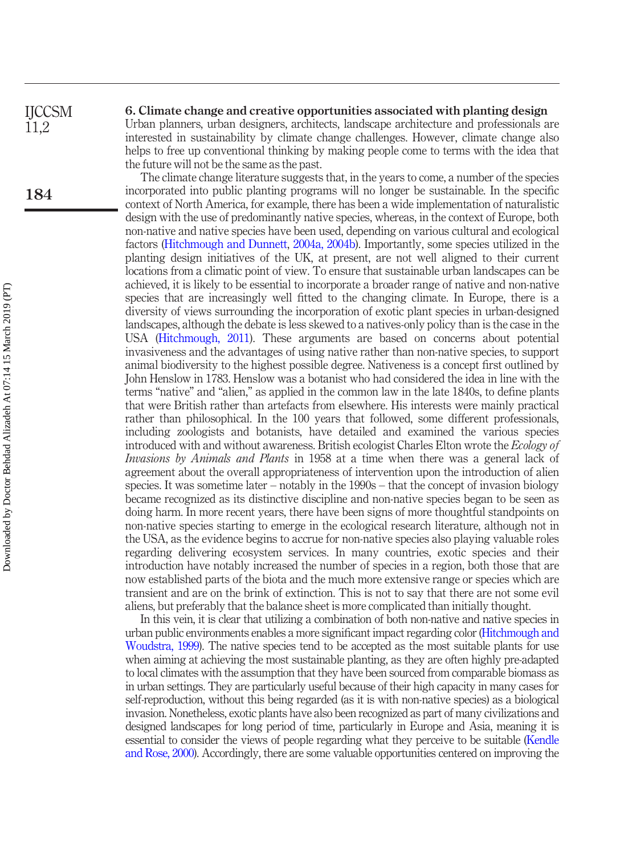#### 6. Climate change and creative opportunities associated with planting design **IJCCSM**

Urban planners, urban designers, architects, landscape architecture and professionals are interested in sustainability by climate change challenges. However, climate change also helps to free up conventional thinking by making people come to terms with the idea that the future will not be the same as the past.

The climate change literature suggests that, in the years to come, a number of the species incorporated into public planting programs will no longer be sustainable. In the specific context of North America, for example, there has been a wide implementation of naturalistic design with the use of predominantly native species, whereas, in the context of Europe, both non-native and native species have been used, depending on various cultural and ecological factors ([Hitchmough and Dunnett,](#page-13-13) [2004a, 2004b\)](#page-13-14). Importantly, some species utilized in the planting design initiatives of the UK, at present, are not well aligned to their current locations from a climatic point of view. To ensure that sustainable urban landscapes can be achieved, it is likely to be essential to incorporate a broader range of native and non-native species that are increasingly well fitted to the changing climate. In Europe, there is a diversity of views surrounding the incorporation of exotic plant species in urban-designed landscapes, although the debate is less skewed to a natives-only policy than is the case in the USA [\(Hitchmough, 2011\)](#page-13-5). These arguments are based on concerns about potential invasiveness and the advantages of using native rather than non-native species, to support animal biodiversity to the highest possible degree. Nativeness is a concept first outlined by John Henslow in 1783. Henslow was a botanist who had considered the idea in line with the terms "native" and "alien," as applied in the common law in the late 1840s, to define plants that were British rather than artefacts from elsewhere. His interests were mainly practical rather than philosophical. In the 100 years that followed, some different professionals, including zoologists and botanists, have detailed and examined the various species introduced with and without awareness. British ecologist Charles Elton wrote the Ecology of Invasions by Animals and Plants in 1958 at a time when there was a general lack of agreement about the overall appropriateness of intervention upon the introduction of alien species. It was sometime later – notably in the 1990s – that the concept of invasion biology became recognized as its distinctive discipline and non-native species began to be seen as doing harm. In more recent years, there have been signs of more thoughtful standpoints on non-native species starting to emerge in the ecological research literature, although not in the USA, as the evidence begins to accrue for non-native species also playing valuable roles regarding delivering ecosystem services. In many countries, exotic species and their introduction have notably increased the number of species in a region, both those that are now established parts of the biota and the much more extensive range or species which are transient and are on the brink of extinction. This is not to say that there are not some evil aliens, but preferably that the balance sheet is more complicated than initially thought.

In this vein, it is clear that utilizing a combination of both non-native and native species in urban public environments enables a more significant impact regarding color ([Hitchmough and](#page-13-15) [Woudstra, 1999](#page-13-15)). The native species tend to be accepted as the most suitable plants for use when aiming at achieving the most sustainable planting, as they are often highly pre-adapted to local climates with the assumption that they have been sourced from comparable biomass as in urban settings. They are particularly useful because of their high capacity in many cases for self-reproduction, without this being regarded (as it is with non-native species) as a biological invasion. Nonetheless, exotic plants have also been recognized as part of many civilizations and designed landscapes for long period of time, particularly in Europe and Asia, meaning it is essential to consider the views of people regarding what they perceive to be suitable [\(Kendle](#page-14-10) [and Rose, 2000](#page-14-10)). Accordingly, there are some valuable opportunities centered on improving the

11,2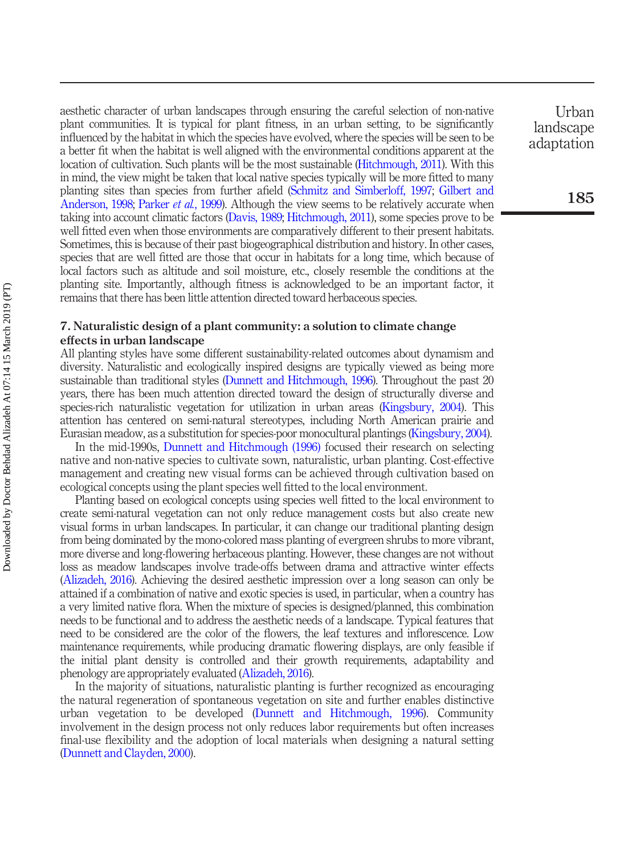aesthetic character of urban landscapes through ensuring the careful selection of non-native plant communities. It is typical for plant fitness, in an urban setting, to be significantly influenced by the habitat in which the species have evolved, where the species will be seen to be a better fit when the habitat is well aligned with the environmental conditions apparent at the location of cultivation. Such plants will be the most sustainable [\(Hitchmough, 2011\)](#page-13-5). With this in mind, the view might be taken that local native species typically will be more fitted to many planting sites than species from further afield [\(Schmitz and Simberloff, 1997;](#page-15-12) [Gilbert and](#page-12-15) [Anderson, 1998;](#page-12-15) [Parker](#page-14-11) *et al.*, 1999). Although the view seems to be relatively accurate when taking into account climatic factors [\(Davis, 1989](#page-12-16); [Hitchmough, 2011](#page-13-5)), some species prove to be well fitted even when those environments are comparatively different to their present habitats. Sometimes, this is because of their past biogeographical distribution and history. In other cases, species that are well fitted are those that occur in habitats for a long time, which because of local factors such as altitude and soil moisture, etc., closely resemble the conditions at the planting site. Importantly, although fitness is acknowledged to be an important factor, it remains that there has been little attention directed toward herbaceous species.

#### 7. Naturalistic design of a plant community: a solution to climate change effects in urban landscape

All planting styles have some different sustainability-related outcomes about dynamism and diversity. Naturalistic and ecologically inspired designs are typically viewed as being more sustainable than traditional styles [\(Dunnett and Hitchmough, 1996\)](#page-12-17). Throughout the past 20 years, there has been much attention directed toward the design of structurally diverse and species-rich naturalistic vegetation for utilization in urban areas [\(Kingsbury, 2004](#page-14-12)). This attention has centered on semi-natural stereotypes, including North American prairie and Eurasian meadow, as a substitution for species-poor monocultural plantings [\(Kingsbury, 2004\)](#page-14-12).

In the mid-1990s, [Dunnett and Hitchmough \(1996\)](#page-12-17) focused their research on selecting native and non-native species to cultivate sown, naturalistic, urban planting. Cost-effective management and creating new visual forms can be achieved through cultivation based on ecological concepts using the plant species well fitted to the local environment.

Planting based on ecological concepts using species well fitted to the local environment to create semi-natural vegetation can not only reduce management costs but also create new visual forms in urban landscapes. In particular, it can change our traditional planting design from being dominated by the mono-colored mass planting of evergreen shrubs to more vibrant, more diverse and long-flowering herbaceous planting. However, these changes are not without loss as meadow landscapes involve trade-offs between drama and attractive winter effects [\(Alizadeh, 2016\)](#page-11-2). Achieving the desired aesthetic impression over a long season can only be attained if a combination of native and exotic species is used, in particular, when a country has a very limited native flora. When the mixture of species is designed/planned, this combination needs to be functional and to address the aesthetic needs of a landscape. Typical features that need to be considered are the color of the flowers, the leaf textures and inflorescence. Low maintenance requirements, while producing dramatic flowering displays, are only feasible if the initial plant density is controlled and their growth requirements, adaptability and phenology are appropriately evaluated [\(Alizadeh, 2016\)](#page-11-2).

In the majority of situations, naturalistic planting is further recognized as encouraging the natural regeneration of spontaneous vegetation on site and further enables distinctive urban vegetation to be developed [\(Dunnett and Hitchmough, 1996\)](#page-12-17). Community involvement in the design process not only reduces labor requirements but often increases final-use flexibility and the adoption of local materials when designing a natural setting [\(Dunnett and Clayden, 2000](#page-12-18)).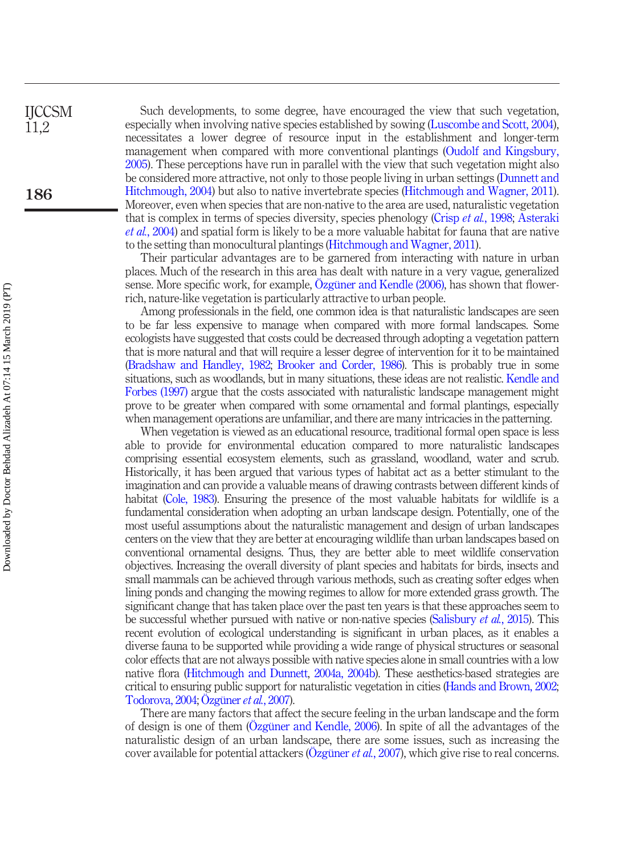Such developments, to some degree, have encouraged the view that such vegetation, especially when involving native species established by sowing ([Luscombe and Scott, 2004\)](#page-14-13), necessitates a lower degree of resource input in the establishment and longer-term management when compared with more conventional plantings ([Oudolf and Kingsbury,](#page-14-14) [2005](#page-14-14)). These perceptions have run in parallel with the view that such vegetation might also be considered more attractive, not only to those people living in urban settings ([Dunnett and](#page-12-8) [Hitchmough, 2004\)](#page-12-8) but also to native invertebrate species [\(Hitchmough and Wagner, 2011\)](#page-13-10). Moreover, even when species that are non-native to the area are used, naturalistic vegetation that is complex in terms of species diversity, species phenology (Crisp et al.[, 1998;](#page-12-19) [Asteraki](#page-11-7) et al.[, 2004](#page-11-7)) and spatial form is likely to be a more valuable habitat for fauna that are native to the setting than monocultural plantings ([Hitchmough and Wagner, 2011\)](#page-13-10).

Their particular advantages are to be garnered from interacting with nature in urban places. Much of the research in this area has dealt with nature in a very vague, generalized sense. More specific work, for example, [Özgüner and Kendle \(2006\),](#page-14-15) has shown that flowerrich, nature-like vegetation is particularly attractive to urban people.

Among professionals in the field, one common idea is that naturalistic landscapes are seen to be far less expensive to manage when compared with more formal landscapes. Some ecologists have suggested that costs could be decreased through adopting a vegetation pattern that is more natural and that will require a lesser degree of intervention for it to be maintained [\(Bradshaw and Handley, 1982](#page-12-20); [Brooker and Corder, 1986\)](#page-12-21). This is probably true in some situations, such as woodlands, but in many situations, these ideas are not realistic. [Kendle and](#page-14-16) [Forbes \(1997\)](#page-14-16) argue that the costs associated with naturalistic landscape management might prove to be greater when compared with some ornamental and formal plantings, especially when management operations are unfamiliar, and there are many intricacies in the patterning.

When vegetation is viewed as an educational resource, traditional formal open space is less able to provide for environmental education compared to more naturalistic landscapes comprising essential ecosystem elements, such as grassland, woodland, water and scrub. Historically, it has been argued that various types of habitat act as a better stimulant to the imagination and can provide a valuable means of drawing contrasts between different kinds of habitat [\(Cole, 1983](#page-12-22)). Ensuring the presence of the most valuable habitats for wildlife is a fundamental consideration when adopting an urban landscape design. Potentially, one of the most useful assumptions about the naturalistic management and design of urban landscapes centers on the view that they are better at encouraging wildlife than urban landscapes based on conventional ornamental designs. Thus, they are better able to meet wildlife conservation objectives. Increasing the overall diversity of plant species and habitats for birds, insects and small mammals can be achieved through various methods, such as creating softer edges when lining ponds and changing the mowing regimes to allow for more extended grass growth. The significant change that has taken place over the past ten years is that these approaches seem to be successful whether pursued with native or non-native species [\(Salisbury](#page-15-13) *et al.*, 2015). This recent evolution of ecological understanding is significant in urban places, as it enables a diverse fauna to be supported while providing a wide range of physical structures or seasonal color effects that are not always possible with native species alone in small countries with a low native flora ([Hitchmough and Dunnett,](#page-13-13) [2004a, 2004b\)](#page-13-14). These aesthetics-based strategies are critical to ensuring public support for naturalistic vegetation in cities [\(Hands and Brown, 2002;](#page-13-16) [Todorova, 2004;](#page-16-13) [Özgüner](#page-14-17) et al., 2007).

There are many factors that affect the secure feeling in the urban landscape and the form of design is one of them [\(Özgüner and Kendle, 2006\)](#page-14-15). In spite of all the advantages of the naturalistic design of an urban landscape, there are some issues, such as increasing the cover available for potential attackers ([Özgüner](#page-14-17) *et al.*, 2007), which give rise to real concerns.

**IJCCSM** 11,2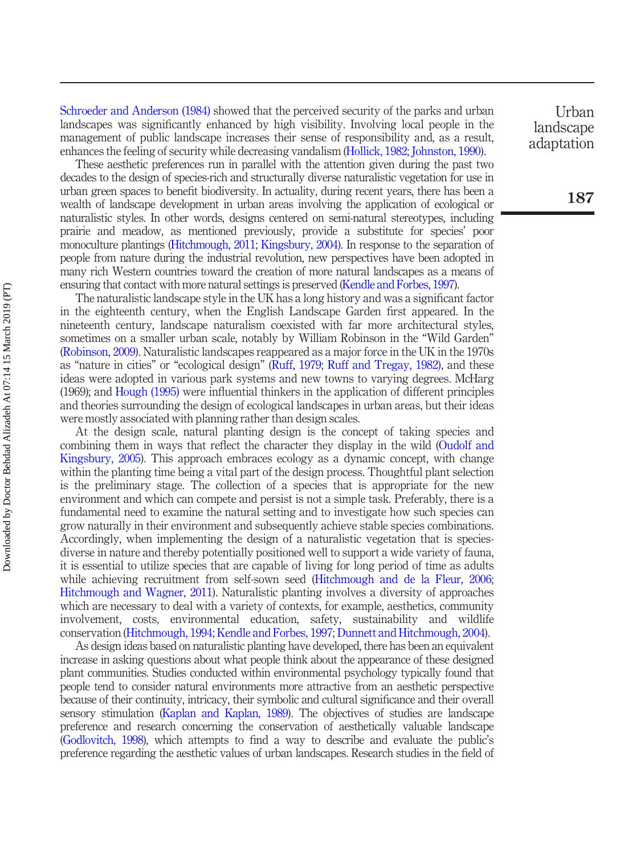[Schroeder and Anderson \(1984\)](#page-15-14) showed that the perceived security of the parks and urban landscapes was significantly enhanced by high visibility. Involving local people in the management of public landscape increases their sense of responsibility and, as a result, enhances the feeling of security while decreasing vandalism ([Hollick, 1982](#page-13-17); [Johnston, 1990\)](#page-13-18).

These aesthetic preferences run in parallel with the attention given during the past two decades to the design of species-rich and structurally diverse naturalistic vegetation for use in urban green spaces to benefit biodiversity. In actuality, during recent years, there has been a wealth of landscape development in urban areas involving the application of ecological or naturalistic styles. In other words, designs centered on semi-natural stereotypes, including prairie and meadow, as mentioned previously, provide a substitute for species' poor monoculture plantings [\(Hitchmough, 2011](#page-13-5); [Kingsbury, 2004\)](#page-14-12). In response to the separation of people from nature during the industrial revolution, new perspectives have been adopted in many rich Western countries toward the creation of more natural landscapes as a means of ensuring that contact with more natural settings is preserved ([Kendle and Forbes, 1997\)](#page-14-16).

The naturalistic landscape style in the UK has a long history and was a significant factor in the eighteenth century, when the English Landscape Garden first appeared. In the nineteenth century, landscape naturalism coexisted with far more architectural styles, sometimes on a smaller urban scale, notably by William Robinson in the "Wild Garden" [\(Robinson, 2009\)](#page-15-15). Naturalistic landscapes reappeared as a major force in the UK in the 1970s as "nature in cities" or "ecological design" [\(Ruff, 1979;](#page-15-16) [Ruff and Tregay, 1982\)](#page-15-17), and these ideas were adopted in various park systems and new towns to varying degrees. McHarg (1969); and [Hough \(1995\)](#page-13-19) were influential thinkers in the application of different principles and theories surrounding the design of ecological landscapes in urban areas, but their ideas were mostly associated with planning rather than design scales.

<span id="page-11-2"></span><span id="page-11-1"></span>At the design scale, natural planting design is the concept of taking species and combining them in ways that reflect the character they display in the wild [\(Oudolf and](#page-14-14) [Kingsbury, 2005\)](#page-14-14). This approach embraces ecology as a dynamic concept, with change within the planting time being a vital part of the design process. Thoughtful plant selection is the preliminary stage. The collection of a species that is appropriate for the new environment and which can compete and persist is not a simple task. Preferably, there is a fundamental need to examine the natural setting and to investigate how such species can grow naturally in their environment and subsequently achieve stable species combinations. Accordingly, when implementing the design of a naturalistic vegetation that is speciesdiverse in nature and thereby potentially positioned well to support a wide variety of fauna, it is essential to utilize species that are capable of living for long period of time as adults while achieving recruitment from self-sown seed ([Hitchmough and de la Fleur, 2006](#page-13-20); [Hitchmough and Wagner, 2011](#page-13-10)). Naturalistic planting involves a diversity of approaches which are necessary to deal with a variety of contexts, for example, aesthetics, community involvement, costs, environmental education, safety, sustainability and wildlife conservation ([Hitchmough, 1994](#page-13-21); [Kendle and Forbes, 1997;](#page-14-16) [Dunnett and Hitchmough, 2004\)](#page-12-8).

<span id="page-11-7"></span><span id="page-11-6"></span><span id="page-11-5"></span><span id="page-11-4"></span><span id="page-11-3"></span><span id="page-11-0"></span>As design ideas based on naturalistic planting have developed, there has been an equivalent increase in asking questions about what people think about the appearance of these designed plant communities. Studies conducted within environmental psychology typically found that people tend to consider natural environments more attractive from an aesthetic perspective because of their continuity, intricacy, their symbolic and cultural significance and their overall sensory stimulation [\(Kaplan and Kaplan, 1989](#page-14-18)). The objectives of studies are landscape preference and research concerning the conservation of aesthetically valuable landscape [\(Godlovitch, 1998](#page-13-22)), which attempts to find a way to describe and evaluate the public's preference regarding the aesthetic values of urban landscapes. Research studies in the field of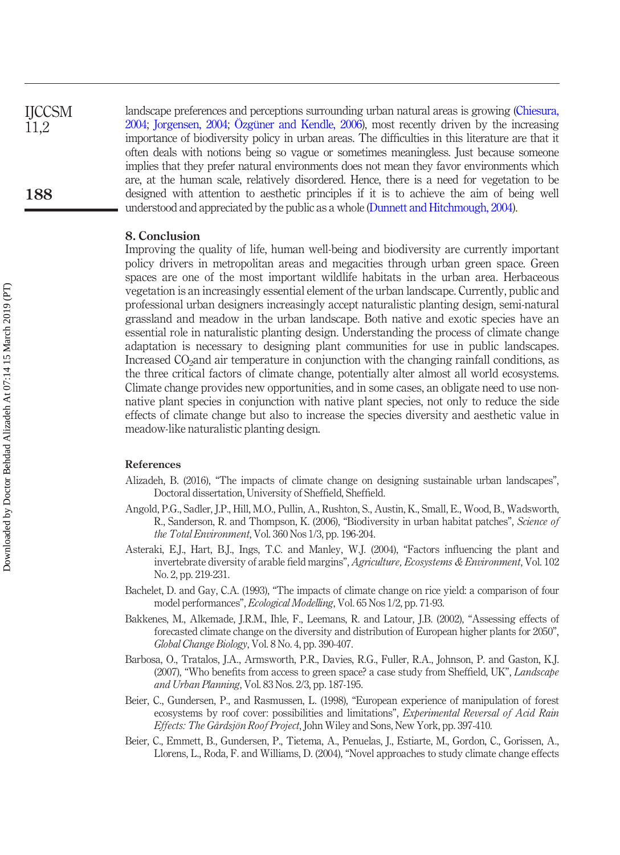landscape preferences and perceptions surrounding urban natural areas is growing [\(Chiesura,](#page-12-0) [2004;](#page-12-0) [Jorgensen, 2004](#page-14-19); [Özgüner and Kendle, 2006](#page-14-15)), most recently driven by the increasing importance of biodiversity policy in urban areas. The difficulties in this literature are that it often deals with notions being so vague or sometimes meaningless. Just because someone implies that they prefer natural environments does not mean they favor environments which are, at the human scale, relatively disordered. Hence, there is a need for vegetation to be designed with attention to aesthetic principles if it is to achieve the aim of being well understood and appreciated by the public as a whole [\(Dunnett and Hitchmough, 2004\)](#page-12-8). **IJCCSM** 

#### 8. Conclusion

<span id="page-12-21"></span><span id="page-12-14"></span><span id="page-12-7"></span><span id="page-12-2"></span>Improving the quality of life, human well-being and biodiversity are currently important policy drivers in metropolitan areas and megacities through urban green space. Green spaces are one of the most important wildlife habitats in the urban area. Herbaceous vegetation is an increasingly essential element of the urban landscape. Currently, public and professional urban designers increasingly accept naturalistic planting design, semi-natural grassland and meadow in the urban landscape. Both native and exotic species have an essential role in naturalistic planting design. Understanding the process of climate change adaptation is necessary to designing plant communities for use in public landscapes. Increased  $CO<sub>2</sub>$  and air temperature in conjunction with the changing rainfall conditions, as the three critical factors of climate change, potentially alter almost all world ecosystems. Climate change provides new opportunities, and in some cases, an obligate need to use nonnative plant species in conjunction with native plant species, not only to reduce the side effects of climate change but also to increase the species diversity and aesthetic value in meadow-like naturalistic planting design.

#### <span id="page-12-22"></span><span id="page-12-10"></span><span id="page-12-9"></span><span id="page-12-5"></span><span id="page-12-0"></span>References

- <span id="page-12-19"></span>Alizadeh, B. (2016), "The impacts of climate change on designing sustainable urban landscapes", Doctoral dissertation, University of Sheffield, Sheffield.
- <span id="page-12-16"></span>Angold, P.G., Sadler, J.P., Hill, M.O., Pullin, A., Rushton, S., Austin, K., Small, E., Wood, B., Wadsworth, R., Sanderson, R. and Thompson, K. (2006), "Biodiversity in urban habitat patches", [Science of](https://www.emeraldinsight.com/action/showLinks?doi=10.1108%2FIJCCSM-10-2017-0179&crossref=10.1016%2Fj.scitotenv.2005.08.035&isi=000237870500015&citationId=p_2) [the Total Environment](https://www.emeraldinsight.com/action/showLinks?doi=10.1108%2FIJCCSM-10-2017-0179&crossref=10.1016%2Fj.scitotenv.2005.08.035&isi=000237870500015&citationId=p_2), Vol. 360 Nos 1/3, pp. 196-204.
- <span id="page-12-17"></span>Asteraki, E.J., Hart, B.J., Ings, T.C. and Manley, W.J. (2004), "Factors influencing the plant and invertebrate diversity of arable field margins", [Agriculture, Ecosystems & Environment](https://www.emeraldinsight.com/action/showLinks?doi=10.1108%2FIJCCSM-10-2017-0179&crossref=10.1016%2Fj.agee.2003.07.003&isi=000220116800010&citationId=p_3), Vol. 102 No. 2, pp. 219-231.
- <span id="page-12-18"></span><span id="page-12-8"></span>Bachelet, D. and Gay, C.A. (1993), "The impacts of climate change on rice yield: a comparison of four model performances", [Ecological Modelling](https://www.emeraldinsight.com/action/showLinks?doi=10.1108%2FIJCCSM-10-2017-0179&crossref=10.1016%2F0304-3800%2893%2990127-E&isi=A1993KL67900004&citationId=p_4), Vol. 65 Nos 1/2, pp. 71-93.
- <span id="page-12-12"></span>Bakkenes, M., Alkemade, J.R.M., Ihle, F., Leemans, R. and Latour, J.B. (2002), "Assessing effects of forecasted climate change on the diversity and distribution of European higher plants for 2050", [Global Change Biology](https://www.emeraldinsight.com/action/showLinks?doi=10.1108%2FIJCCSM-10-2017-0179&crossref=10.1046%2Fj.1354-1013.2001.00467.x&isi=000175570200009&citationId=p_5), Vol. 8 No. 4, pp. 390-407.
- <span id="page-12-13"></span>Barbosa, O., Tratalos, J.A., Armsworth, P.R., Davies, R.G., Fuller, R.A., Johnson, P. and Gaston, K.J. (2007), "Who benefits from access to green space? a case study from Sheffield, UK", *[Landscape](https://www.emeraldinsight.com/action/showLinks?doi=10.1108%2FIJCCSM-10-2017-0179&crossref=10.1016%2Fj.landurbplan.2007.04.004&isi=000251814200009&citationId=p_6)* [and Urban Planning](https://www.emeraldinsight.com/action/showLinks?doi=10.1108%2FIJCCSM-10-2017-0179&crossref=10.1016%2Fj.landurbplan.2007.04.004&isi=000251814200009&citationId=p_6), Vol. 83 Nos. 2/3, pp. 187-195.
- <span id="page-12-15"></span><span id="page-12-4"></span>Beier, C., Gundersen, P., and Rasmussen, L. (1998), "European experience of manipulation of forest ecosystems by roof cover: possibilities and limitations", Experimental Reversal of Acid Rain Effects: The Gårdsjön Roof Project, John Wiley and Sons, New York, pp. 397-410.
- <span id="page-12-3"></span>Beier, C., Emmett, B., Gundersen, P., Tietema, A., Penuelas, J., Estiarte, M., Gordon, C., Gorissen, A., Llorens, L., Roda, F. and Williams, D. (2004), "Novel approaches to study climate change effects

<span id="page-12-1"></span>11,2

<span id="page-12-20"></span><span id="page-12-11"></span><span id="page-12-6"></span>188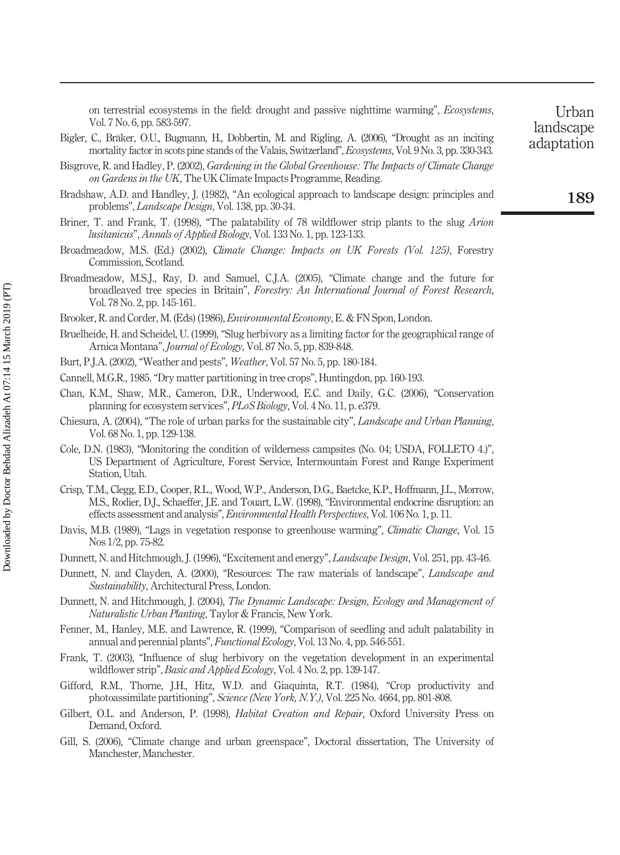<span id="page-13-22"></span><span id="page-13-0"></span>on terrestrial ecosystems in the field: drought and passive nighttime warming", [Ecosystems](https://www.emeraldinsight.com/action/showLinks?doi=10.1108%2FIJCCSM-10-2017-0179&crossref=10.1007%2Fs10021-004-0178-8&isi=000224143500001&citationId=p_8), Vol. 7 No. 6, pp. 583-597.

- Bigler, C., Bräker, O.U., Bugmann, H., Dobbertin, M. and Rigling, A. (2006), "Drought as an inciting mortality factor in scots pine stands of the Valais, Switzerland", [Ecosystems](https://www.emeraldinsight.com/action/showLinks?doi=10.1108%2FIJCCSM-10-2017-0179&crossref=10.1007%2Fs10021-005-0126-2&isi=000237121600002&citationId=p_9), Vol. 9 No. 3, pp. 330-343.
- <span id="page-13-8"></span>Bisgrove, R. and Hadley, P. (2002), Gardening in the Global Greenhouse: The Impacts of Climate Change on Gardens in the UK, The UK Climate Impacts Programme, Reading.
- <span id="page-13-6"></span>Bradshaw, A.D. and Handley, J. (1982), "An ecological approach to landscape design: principles and problems", Landscape Design, Vol. 138, pp. 30-34.
- <span id="page-13-7"></span>Briner, T. and Frank, T. (1998), "The palatability of 78 wildflower strip plants to the slug Arion lusitanicus", [Annals of Applied Biology](https://www.emeraldinsight.com/action/showLinks?doi=10.1108%2FIJCCSM-10-2017-0179&crossref=10.1111%2Fj.1744-7348.1998.tb05808.x&isi=000077678000012&citationId=p_12), Vol. 133 No. 1, pp. 123-133.
- <span id="page-13-9"></span>Broadmeadow, M.S. (Ed.) (2002), *Climate Change: Impacts on UK Forests (Vol. 125)*, Forestry Commission, Scotland.
- <span id="page-13-2"></span>Broadmeadow, M.S.J., Ray, D. and Samuel, C.J.A. (2005), "Climate change and the future for broadleaved tree species in Britain", [Forestry: An International Journal of Forest Research](https://www.emeraldinsight.com/action/showLinks?doi=10.1108%2FIJCCSM-10-2017-0179&crossref=10.1093%2Fforestry%2Fcpi014&citationId=p_14), Vol. 78 No. 2, pp. 145-161.
- <span id="page-13-16"></span>Brooker, R. and Corder, M. (Eds) (1986), *Environmental Economy*, E. & FN Spon, London.
- <span id="page-13-1"></span>Bruelheide, H. and Scheidel, U. (1999), "Slug herbivory as a limiting factor for the geographical range of Arnica Montana", [Journal of Ecology](https://www.emeraldinsight.com/action/showLinks?doi=10.1108%2FIJCCSM-10-2017-0179&crossref=10.1046%2Fj.1365-2745.1999.00403.x&isi=000083683500009&citationId=p_16), Vol. 87 No. 5, pp. 839-848.
- <span id="page-13-21"></span>Burt, P.J.A. (2002),"Weather and pests", [Weather](https://www.emeraldinsight.com/action/showLinks?doi=10.1108%2FIJCCSM-10-2017-0179&crossref=10.1002%2Fwea.6080570506&citationId=p_17), Vol. 57 No. 5, pp. 180-184.
- <span id="page-13-5"></span>Cannell, M.G.R., 1985."Dry matter partitioning in tree crops", Huntingdon, pp. 160-193.
- <span id="page-13-20"></span>Chan, K.M., Shaw, M.R., Cameron, D.R., Underwood, E.C. and Daily, G.C. (2006), "Conservation planning for ecosystem services", [PLoS Biology](https://www.emeraldinsight.com/action/showLinks?doi=10.1108%2FIJCCSM-10-2017-0179&crossref=10.1371%2Fjournal.pbio.0040379&isi=000242649200025&citationId=p_19), Vol. 4 No. 11, p. e379.
- Chiesura, A. (2004), "The role of urban parks for the sustainable city", *[Landscape and Urban Planning](https://www.emeraldinsight.com/action/showLinks?doi=10.1108%2FIJCCSM-10-2017-0179&crossref=10.1016%2Fj.landurbplan.2003.08.003&isi=000220414700009&citationId=p_20)*, Vol. 68 No. 1, pp. 129-138.
- <span id="page-13-13"></span>Cole, D.N. (1983), "[Monitoring the condition of wilderness campsites \(No. 04;](https://www.emeraldinsight.com/action/showLinks?doi=10.1108%2FIJCCSM-10-2017-0179&crossref=10.2737%2FINT-RP-312&citationId=p_21) USDA, FOLLETO 4.)", US Department of Agriculture, Forest Service, Intermountain Forest and Range Experiment Station, Utah.
- <span id="page-13-14"></span>Crisp, T.M., Clegg, E.D., Cooper, R.L., Wood, W.P., Anderson, D.G., Baetcke, K.P., Hoffmann, J.L., Morrow, M.S., Rodier, D.J., Schaeffer, J.E. and Touart, L.W. (1998), "Environmental endocrine disruption: an effects assessment and analysis", [Environmental Health Perspectives](https://www.emeraldinsight.com/action/showLinks?doi=10.1108%2FIJCCSM-10-2017-0179&crossref=10.1289%2Fehp.98106s111&citationId=p_22), Vol. 106 No. 1, p. 11.
- <span id="page-13-10"></span>Davis, M.B. (1989), "Lags in vegetation response to greenhouse warming", [Climatic Change](https://www.emeraldinsight.com/action/showLinks?doi=10.1108%2FIJCCSM-10-2017-0179&crossref=10.1007%2FBF00138846&isi=A1989CB29200007&citationId=p_23), Vol. 15 Nos 1/2, pp. 75-82.
- <span id="page-13-15"></span>Dunnett, N. and Hitchmough, J. (1996), "Excitement and energy", *Landscape Design*, Vol. 251, pp. 43-46.
- Dunnett, N. and Clayden, A. (2000), "Resources: The raw materials of landscape", Landscape and Sustainability, Architectural Press, London.
- <span id="page-13-12"></span>Dunnett, N. and Hitchmough, J. (2004), [The Dynamic Landscape: Design, Ecology and Management of](https://www.emeraldinsight.com/action/showLinks?doi=10.1108%2FIJCCSM-10-2017-0179&crossref=10.4324%2F9780203402870&citationId=p_26) [Naturalistic Urban Planting](https://www.emeraldinsight.com/action/showLinks?doi=10.1108%2FIJCCSM-10-2017-0179&crossref=10.4324%2F9780203402870&citationId=p_26), Taylor & Francis, New York.
- <span id="page-13-17"></span>Fenner, M., Hanley, M.E. and Lawrence, R. (1999), "Comparison of seedling and adult palatability in annual and perennial plants", [Functional Ecology](https://www.emeraldinsight.com/action/showLinks?doi=10.1108%2FIJCCSM-10-2017-0179&crossref=10.1046%2Fj.1365-2435.1999.00346.x&isi=000082889300012&citationId=p_27), Vol. 13 No. 4, pp. 546-551.
- <span id="page-13-19"></span><span id="page-13-11"></span>Frank, T. (2003), "Influence of slug herbivory on the vegetation development in an experimental wildflower strip", *[Basic and Applied Ecology](https://www.emeraldinsight.com/action/showLinks?doi=10.1108%2FIJCCSM-10-2017-0179&crossref=10.1078%2F1439-1791-00117&isi=000181883800005&citationId=p_28)*, Vol. 4 No. 2, pp. 139-147.
- <span id="page-13-4"></span>Gifford, R.M., Thorne, J.H., Hitz, W.D. and Giaquinta, R.T. (1984), "Crop productivity and photoassimilate partitioning", [Science \(New York, N.Y.](https://www.emeraldinsight.com/action/showLinks?doi=10.1108%2FIJCCSM-10-2017-0179&crossref=10.1126%2Fscience.225.4664.801&isi=A1984TE37100007&citationId=p_29)), Vol. 225 No. 4664, pp. 801-808.
- <span id="page-13-3"></span>Gilbert, O.L. and Anderson, P. (1998), *Habitat Creation and Repair*, Oxford University Press on Demand, Oxford.
- <span id="page-13-18"></span>Gill, S. (2006), "Climate change and urban greenspace", Doctoral dissertation, The University of Manchester, Manchester.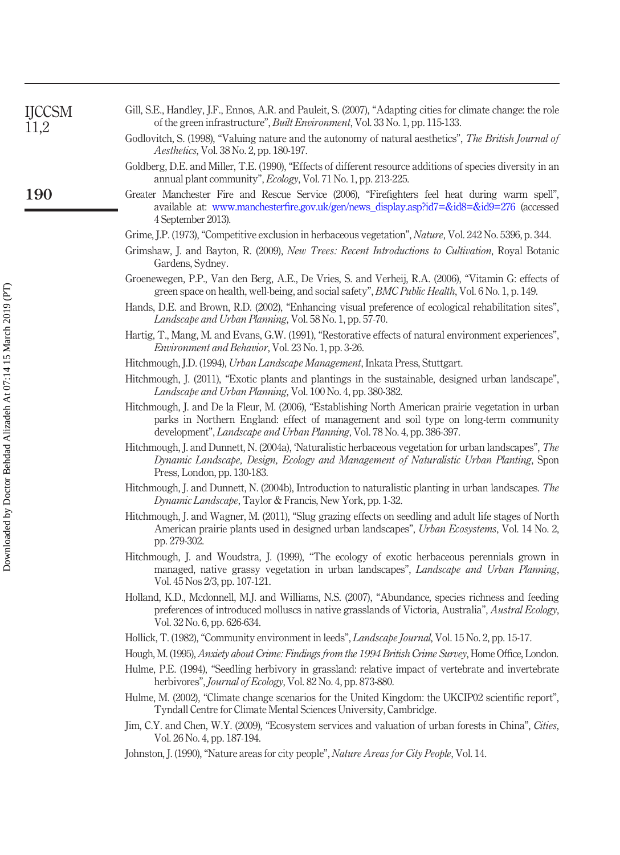<span id="page-14-19"></span><span id="page-14-18"></span><span id="page-14-17"></span><span id="page-14-16"></span><span id="page-14-15"></span><span id="page-14-14"></span><span id="page-14-13"></span><span id="page-14-12"></span><span id="page-14-11"></span><span id="page-14-10"></span><span id="page-14-9"></span><span id="page-14-8"></span><span id="page-14-7"></span><span id="page-14-6"></span><span id="page-14-5"></span><span id="page-14-4"></span><span id="page-14-3"></span><span id="page-14-2"></span><span id="page-14-1"></span><span id="page-14-0"></span>

| <b>IJCCSM</b><br>11,2 | Gill, S.E., Handley, J.F., Ennos, A.R. and Pauleit, S. (2007), "Adapting cities for climate change: the role<br>of the green infrastructure", Built Environment, Vol. 33 No. 1, pp. 115-133.                                                                           |
|-----------------------|------------------------------------------------------------------------------------------------------------------------------------------------------------------------------------------------------------------------------------------------------------------------|
|                       | Godlovitch, S. (1998), "Valuing nature and the autonomy of natural aesthetics", <i>The British Journal of</i><br>Aesthetics, Vol. 38 No. 2, pp. 180-197.                                                                                                               |
|                       | Goldberg, D.E. and Miller, T.E. (1990), "Effects of different resource additions of species diversity in an<br>annual plant community", Ecology, Vol. 71 No. 1, pp. 213-225.                                                                                           |
| 190                   | Greater Manchester Fire and Rescue Service (2006), "Firefighters feel heat during warm spell",<br>available at: www.manchesterfire.gov.uk/gen/news_display.asp?id7=&id8=&id9=276 (accessed<br>4 September 2013).                                                       |
|                       | Grime, J.P. (1973), "Competitive exclusion in herbaceous vegetation", Nature, Vol. 242 No. 5396, p. 344.                                                                                                                                                               |
|                       | Grimshaw, J. and Bayton, R. (2009), New Trees: Recent Introductions to Cultivation, Royal Botanic<br>Gardens, Sydney.                                                                                                                                                  |
|                       | Groenewegen, P.P., Van den Berg, A.E., De Vries, S. and Verheij, R.A. (2006), "Vitamin G: effects of<br>green space on health, well-being, and social safety", BMC Public Health, Vol. 6 No. 1, p. 149.                                                                |
|                       | Hands, D.E. and Brown, R.D. (2002), "Enhancing visual preference of ecological rehabilitation sites",<br>Landscape and Urban Planning, Vol. 58 No. 1, pp. 57-70.                                                                                                       |
|                       | Hartig, T., Mang, M. and Evans, G.W. (1991), "Restorative effects of natural environment experiences",<br><i>Environment and Behavior</i> , Vol. 23 No. 1, pp. 3-26.                                                                                                   |
|                       | Hitchmough, J.D. (1994), Urban Landscape Management, Inkata Press, Stuttgart.                                                                                                                                                                                          |
|                       | Hitchmough, J. (2011), "Exotic plants and plantings in the sustainable, designed urban landscape",<br>Landscape and Urban Planning, Vol. 100 No. 4, pp. 380-382.                                                                                                       |
|                       | Hitchmough, J. and De la Fleur, M. (2006), "Establishing North American prairie vegetation in urban<br>parks in Northern England: effect of management and soil type on long-term community<br>development", Landscape and Urban Planning, Vol. 78 No. 4, pp. 386-397. |
|                       | Hitchmough, J. and Dunnett, N. (2004a), 'Naturalistic herbaceous vegetation for urban landscapes", The<br>Dynamic Landscape, Design, Ecology and Management of Naturalistic Urban Planting, Spon<br>Press, London, pp. 130-183.                                        |
|                       | Hitchmough, J. and Dunnett, N. (2004b), Introduction to naturalistic planting in urban landscapes. The<br>Dynamic Landscape, Taylor & Francis, New York, pp. 1-32.                                                                                                     |
|                       | Hitchmough, J. and Wagner, M. (2011), "Slug grazing effects on seedling and adult life stages of North<br>American prairie plants used in designed urban landscapes", Urban Ecosystems, Vol. 14 No. 2,<br>pp. 279-302.                                                 |
|                       | Hitchmough, J. and Woudstra, J. (1999), "The ecology of exotic herbaceous perennials grown in<br>managed, native grassy vegetation in urban landscapes", Landscape and Urban Planning,<br>Vol. 45 Nos 2/3, pp. 107-121.                                                |
|                       | Holland, K.D., Mcdonnell, M.J. and Williams, N.S. (2007), "Abundance, species richness and feeding<br>preferences of introduced molluscs in native grasslands of Victoria, Australia", Austral Ecology,<br>Vol. 32 No. 6, pp. 626-634.                                 |
|                       | Hollick, T. (1982), "Community environment in leeds", <i>Landscape Journal</i> , Vol. 15 No. 2, pp. 15-17.                                                                                                                                                             |
|                       | Hough, M. (1995), Anxiety about Crime: Findings from the 1994 British Crime Survey, Home Office, London.                                                                                                                                                               |
|                       | Hulme, P.E. (1994), "Seedling herbivory in grassland: relative impact of vertebrate and invertebrate<br>herbivores", <i>Journal of Ecology</i> , Vol. 82 No. 4, pp. 873-880.                                                                                           |
|                       | Hulme, M. (2002), "Climate change scenarios for the United Kingdom: the UKCIP02 scientific report",<br>Tyndall Centre for Climate Mental Sciences University, Cambridge.                                                                                               |
|                       | Jim, C.Y. and Chen, W.Y. (2009), "Ecosystem services and valuation of urban forests in China", Cities,<br>Vol. 26 No. 4, pp. 187-194.                                                                                                                                  |
|                       | Johnston, J. (1990), "Nature areas for city people", Nature Areas for City People, Vol. 14.                                                                                                                                                                            |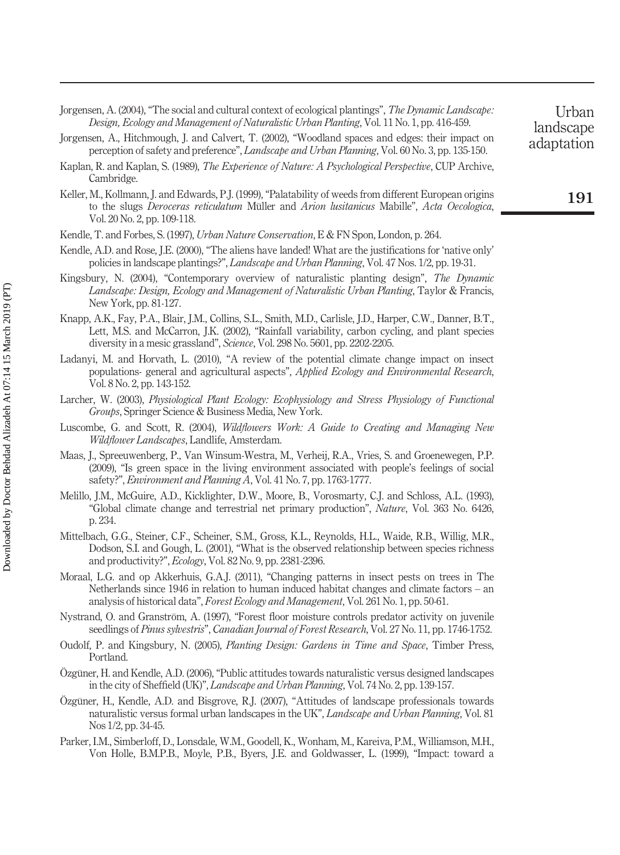<span id="page-15-8"></span>Jorgensen, A., Hitchmough, J. and Calvert, T. (2002), "Woodland spaces and edges: their impact on perception of safety and preference", [Landscape and Urban Planning](https://www.emeraldinsight.com/action/showLinks?doi=10.1108%2FIJCCSM-10-2017-0179&crossref=10.1016%2FS0169-2046%2802%2900052-X&isi=000177312200001&citationId=p_56), Vol. 60 No. 3, pp. 135-150.

Kaplan, R. and Kaplan, S. (1989), The Experience of Nature: A Psychological Perspective, CUP Archive, Cambridge.

- Kendle, A.D. and Rose, J.E. (2000), "The aliens have landed! What are the justifications for 'native only' policies in landscape plantings?", [Landscape and Urban Planning](https://www.emeraldinsight.com/action/showLinks?doi=10.1108%2FIJCCSM-10-2017-0179&crossref=10.1016%2FS0169-2046%2899%2900070-5&isi=000085200900002&citationId=p_60), Vol. 47 Nos. 1/2, pp. 19-31.
- <span id="page-15-10"></span>Kingsbury, N. (2004), "Contemporary overview of naturalistic planting design", The Dynamic Landscape: Design, Ecology and Management of Naturalistic Urban Planting, Taylor & Francis, New York, pp. 81-127.
- <span id="page-15-3"></span><span id="page-15-1"></span>Knapp, A.K., Fay, P.A., Blair, J.M., Collins, S.L., Smith, M.D., Carlisle, J.D., Harper, C.W., Danner, B.T., Lett, M.S. and McCarron, J.K. (2002), "Rainfall variability, carbon cycling, and plant species diversity in a mesic grassland", [Science](https://www.emeraldinsight.com/action/showLinks?doi=10.1108%2FIJCCSM-10-2017-0179&crossref=10.1126%2Fscience.1076347&isi=000179773700051&citationId=p_62), Vol. 298 No. 5601, pp. 2202-2205.
- Ladanyi, M. and Horvath, L. (2010), "A review of the potential climate change impact on insect populations- general and agricultural aspects", [Applied Ecology and Environmental Research](https://www.emeraldinsight.com/action/showLinks?doi=10.1108%2FIJCCSM-10-2017-0179&crossref=10.15666%2Faeer%2F0802_143151&isi=000279349700005&citationId=p_63), Vol. 8 No. 2, pp. 143-152.
- <span id="page-15-15"></span><span id="page-15-6"></span>Larcher, W. (2003), [Physiological Plant Ecology: Ecophysiology and Stress Physiology of Functional](https://www.emeraldinsight.com/action/showLinks?doi=10.1108%2FIJCCSM-10-2017-0179&crossref=10.1007%2F978-3-662-05214-3&citationId=p_64) [Groups](https://www.emeraldinsight.com/action/showLinks?doi=10.1108%2FIJCCSM-10-2017-0179&crossref=10.1007%2F978-3-662-05214-3&citationId=p_64), Springer Science & Business Media, New York.
- Luscombe, G. and Scott, R. (2004), Wildflowers Work: A Guide to Creating and Managing New Wildflower Landscapes, Landlife, Amsterdam.
- <span id="page-15-9"></span>Maas, J., Spreeuwenberg, P., Van Winsum-Westra, M., Verheij, R.A., Vries, S. and Groenewegen, P.P. (2009), "Is green space in the living environment associated with people's feelings of social safety?", *[Environment and Planning A](https://www.emeraldinsight.com/action/showLinks?doi=10.1108%2FIJCCSM-10-2017-0179&crossref=10.1068%2Fa4196&isi=000268692500015&citationId=p_66)*, Vol. 41 No. 7, pp. 1763-1777.
- <span id="page-15-17"></span><span id="page-15-16"></span>Melillo, J.M., McGuire, A.D., Kicklighter, D.W., Moore, B., Vorosmarty, C.J. and Schloss, A.L. (1993), "Global climate change and terrestrial net primary production", [Nature](https://www.emeraldinsight.com/action/showLinks?doi=10.1108%2FIJCCSM-10-2017-0179&crossref=10.1038%2F363234a0&isi=A1993LC86600042&citationId=p_67), Vol. 363 No. 6426, p. 234.
- <span id="page-15-13"></span>Mittelbach, G.G., Steiner, C.F., Scheiner, S.M., Gross, K.L., Reynolds, H.L., Waide, R.B., Willig, M.R., Dodson, S.I. and Gough, L. (2001), "What is the observed relationship between species richness and productivity?", [Ecology](https://www.emeraldinsight.com/action/showLinks?doi=10.1108%2FIJCCSM-10-2017-0179&crossref=10.1890%2F0012-9658%282001%29082%5B2381%3AWITORB%5D2.0.CO%3B2&isi=000171049100001&citationId=p_68), Vol. 82 No. 9, pp. 2381-2396.
- <span id="page-15-11"></span>Moraal, L.G. and op Akkerhuis, G.A.J. (2011), "Changing patterns in insect pests on trees in The Netherlands since 1946 in relation to human induced habitat changes and climate factors – an analysis of historical data", [Forest Ecology and Management](https://www.emeraldinsight.com/action/showLinks?doi=10.1108%2FIJCCSM-10-2017-0179&crossref=10.1016%2Fj.foreco.2010.09.024&isi=000285132000006&citationId=p_69), Vol. 261 No. 1, pp. 50-61.
- <span id="page-15-14"></span><span id="page-15-12"></span>Nystrand, O. and Granström, A. (1997), "Forest floor moisture controls predator activity on juvenile seedlings of Pinus sylvestris", [Canadian Journal of Forest Research](https://www.emeraldinsight.com/action/showLinks?doi=10.1108%2FIJCCSM-10-2017-0179&crossref=10.1139%2Fx97-148&isi=000071458200005&citationId=p_70), Vol. 27 No. 11, pp. 1746-1752.
- <span id="page-15-2"></span>Oudolf, P. and Kingsbury, N. (2005), Planting Design: Gardens in Time and Space, Timber Press, Portland.
- Özgüner, H. and Kendle, A.D. (2006), "Public attitudes towards naturalistic versus designed landscapes in the city of Sheffield (UK)", [Landscape and Urban Planning](https://www.emeraldinsight.com/action/showLinks?doi=10.1108%2FIJCCSM-10-2017-0179&crossref=10.1016%2Fj.landurbplan.2004.10.003&isi=000233329900005&citationId=p_72), Vol. 74 No. 2, pp. 139-157.
- <span id="page-15-5"></span>Özgüner, H., Kendle, A.D. and Bisgrove, R.J. (2007), "Attitudes of landscape professionals towards naturalistic versus formal urban landscapes in the UK", [Landscape and Urban Planning](https://www.emeraldinsight.com/action/showLinks?doi=10.1108%2FIJCCSM-10-2017-0179&crossref=10.1016%2Fj.landurbplan.2006.10.002&isi=000247084200004&citationId=p_73), Vol. 81 Nos 1/2, pp. 34-45.
- <span id="page-15-4"></span>Parker, I.M., Simberloff, D., Lonsdale, W.M., Goodell, K., Wonham, M., Kareiva, P.M., Williamson, M.H., Von Holle, B.M.P.B., Moyle, P.B., Byers, J.E. and Goldwasser, L. (1999), "Impact: toward a

Urban

<span id="page-15-0"></span>Keller, M., Kollmann, J. and Edwards, P.J. (1999), "Palatability of weeds from different European origins to the slugs Deroceras reticulatum Müller and Arion lusitanicus Mabille", [Acta Oecologica](https://www.emeraldinsight.com/action/showLinks?doi=10.1108%2FIJCCSM-10-2017-0179&crossref=10.1016%2FS1146-609X%2899%2980023-X&isi=000080136600006&citationId=p_58), Vol. 20 No. 2, pp. 109-118.

<span id="page-15-7"></span>Kendle, T. and Forbes, S. (1997), Urban Nature Conservation, E & FN Spon, London, p. 264.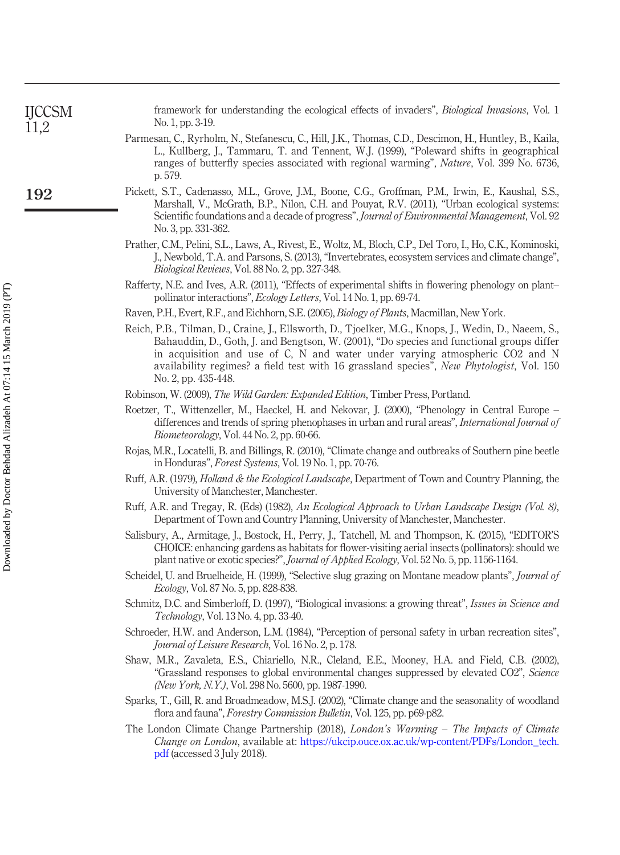|                  | framework for understanding the ecological effects of invaders", <i>Biological Invasions</i> , Vol. 1 |  |  |  |  |  |
|------------------|-------------------------------------------------------------------------------------------------------|--|--|--|--|--|
| No. 1, pp. 3-19. |                                                                                                       |  |  |  |  |  |

- Parmesan, C., Ryrholm, N., Stefanescu, C., Hill, J.K., Thomas, C.D., Descimon, H., Huntley, B., Kaila, L., Kullberg, J., Tammaru, T. and Tennent, W.J. (1999), "Poleward shifts in geographical ranges of butterfly species associated with regional warming", [Nature](https://www.emeraldinsight.com/action/showLinks?doi=10.1108%2FIJCCSM-10-2017-0179&crossref=10.1038%2F21181&isi=000080778400054&citationId=p_75), Vol. 399 No. 6736, p. 579.
- <span id="page-16-3"></span>Pickett, S.T., Cadenasso, M.L., Grove, J.M., Boone, C.G., Groffman, P.M., Irwin, E., Kaushal, S.S., Marshall, V., McGrath, B.P., Nilon, C.H. and Pouyat, R.V. (2011), "Urban ecological systems: Scientific foundations and a decade of progress", [Journal of Environmental Management](https://www.emeraldinsight.com/action/showLinks?doi=10.1108%2FIJCCSM-10-2017-0179&crossref=10.1016%2Fj.jenvman.2010.08.022&isi=000286782400002&citationId=p_76), Vol. 92 No. 3, pp. 331-362.
- <span id="page-16-0"></span>Prather, C.M., Pelini, S.L., Laws, A., Rivest, E., Woltz, M., Bloch, C.P., Del Toro, I., Ho, C.K., Kominoski, J., Newbold, T.A. and Parsons, S. (2013), "Invertebrates, ecosystem services and climate change", [Biological Reviews](https://www.emeraldinsight.com/action/showLinks?doi=10.1108%2FIJCCSM-10-2017-0179&crossref=10.1111%2Fbrv.12002&isi=000317067900005&citationId=p_77), Vol. 88 No. 2, pp. 327-348.
- <span id="page-16-4"></span>Rafferty, N.E. and Ives, A.R. (2011), "Effects of experimental shifts in flowering phenology on plant– pollinator interactions", [Ecology Letters](https://www.emeraldinsight.com/action/showLinks?doi=10.1108%2FIJCCSM-10-2017-0179&crossref=10.1111%2Fj.1461-0248.2010.01557.x&isi=000285302500011&citationId=p_78), Vol. 14 No. 1, pp. 69-74.
- Raven, P.H., Evert, R.F., and Eichhorn, S.E. (2005), Biology of Plants, Macmillan, New York.
- <span id="page-16-10"></span><span id="page-16-9"></span>Reich, P.B., Tilman, D., Craine, J., Ellsworth, D., Tjoelker, M.G., Knops, J., Wedin, D., Naeem, S., Bahauddin, D., Goth, J. and Bengtson, W. (2001), "Do species and functional groups differ in acquisition and use of C, N and water under varying atmospheric CO2 and N availability regimes? a field test with 16 grassland species", *[New Phytologist](https://www.emeraldinsight.com/action/showLinks?doi=10.1108%2FIJCCSM-10-2017-0179&crossref=10.1046%2Fj.1469-8137.2001.00114.x&isi=000168361500021&citationId=p_80)*, Vol. 150 No. 2, pp. 435-448.
- <span id="page-16-8"></span>Robinson, W. (2009), The Wild Garden: Expanded Edition, Timber Press, Portland.
- <span id="page-16-7"></span>Roetzer, T., Wittenzeller, M., Haeckel, H. and Nekovar, J. (2000), "Phenology in Central Europe – differences and trends of spring phenophases in urban and rural areas", [International Journal of](https://www.emeraldinsight.com/action/showLinks?doi=10.1108%2FIJCCSM-10-2017-0179&crossref=10.1007%2Fs004840000062&isi=000088875000002&citationId=p_82) [Biometeorology](https://www.emeraldinsight.com/action/showLinks?doi=10.1108%2FIJCCSM-10-2017-0179&crossref=10.1007%2Fs004840000062&isi=000088875000002&citationId=p_82), Vol. 44 No. 2, pp. 60-66.
- <span id="page-16-12"></span>Rojas, M.R., Locatelli, B. and Billings, R. (2010), "Climate change and outbreaks of Southern pine beetle in Honduras", [Forest Systems](https://www.emeraldinsight.com/action/showLinks?doi=10.1108%2FIJCCSM-10-2017-0179&crossref=10.5424%2Ffs%2F2010191-01168&isi=000277869800007&citationId=p_83), Vol. 19 No. 1, pp. 70-76.
- <span id="page-16-1"></span>Ruff, A.R. (1979), *Holland & the Ecological Landscape*, Department of Town and Country Planning, the University of Manchester, Manchester.
- <span id="page-16-6"></span>Ruff, A.R. and Tregay, R. (Eds) (1982), An Ecological Approach to Urban Landscape Design (Vol. 8), Department of Town and Country Planning, University of Manchester, Manchester.
- <span id="page-16-2"></span>Salisbury, A., Armitage, J., Bostock, H., Perry, J., Tatchell, M. and Thompson, K. (2015), "EDITOR'S CHOICE: enhancing gardens as habitats for flower-visiting aerial insects (pollinators): should we plant native or exotic species?", [Journal of Applied Ecology](https://www.emeraldinsight.com/action/showLinks?doi=10.1108%2FIJCCSM-10-2017-0179&crossref=10.1111%2F1365-2664.12499&isi=000361186500006&citationId=p_86), Vol. 52 No. 5, pp. 1156-1164.
- Scheidel, U. and Bruelheide, H. (1999), "Selective slug grazing on Montane meadow plants", [Journal of](https://www.emeraldinsight.com/action/showLinks?doi=10.1108%2FIJCCSM-10-2017-0179&crossref=10.1046%2Fj.1365-2745.1999.00402.x&isi=000083683500008&citationId=p_87) [Ecology](https://www.emeraldinsight.com/action/showLinks?doi=10.1108%2FIJCCSM-10-2017-0179&crossref=10.1046%2Fj.1365-2745.1999.00402.x&isi=000083683500008&citationId=p_87), Vol. 87 No. 5, pp. 828-838.
- Schmitz, D.C. and Simberloff, D. (1997), "Biological invasions: a growing threat", [Issues in Science and](https://www.emeraldinsight.com/action/showLinks?doi=10.1108%2FIJCCSM-10-2017-0179&isi=A1997XK37900030&citationId=p_88) [Technology](https://www.emeraldinsight.com/action/showLinks?doi=10.1108%2FIJCCSM-10-2017-0179&isi=A1997XK37900030&citationId=p_88), Vol. 13 No. 4, pp. 33-40.
- Schroeder, H.W. and Anderson, L.M. (1984), "Perception of personal safety in urban recreation sites", [Journal of Leisure Research](https://www.emeraldinsight.com/action/showLinks?doi=10.1108%2FIJCCSM-10-2017-0179&crossref=10.1080%2F00222216.1984.11969584&isi=A1984TE61800008&citationId=p_89), Vol. 16 No. 2, p. 178.
- Shaw, M.R., Zavaleta, E.S., Chiariello, N.R., Cleland, E.E., Mooney, H.A. and Field, C.B. (2002), "Grassland responses to global environmental changes suppressed by elevated CO2", [Science](https://www.emeraldinsight.com/action/showLinks?doi=10.1108%2FIJCCSM-10-2017-0179&crossref=10.1126%2Fscience.1075312&isi=000179629200044&citationId=p_90) [\(New York, N.Y.](https://www.emeraldinsight.com/action/showLinks?doi=10.1108%2FIJCCSM-10-2017-0179&crossref=10.1126%2Fscience.1075312&isi=000179629200044&citationId=p_90)), Vol. 298 No. 5600, pp. 1987-1990.
- Sparks, T., Gill, R. and Broadmeadow, M.S.J. (2002), "Climate change and the seasonality of woodland flora and fauna", Forestry Commission Bulletin, Vol. 125, pp. p69-p82.
- The London Climate Change Partnership (2018), London's Warming The Impacts of Climate Change on London, available at: [https://ukcip.ouce.ox.ac.uk/wp-content/PDFs/London\\_tech.](https://ukcip.ouce.ox.ac.uk/wp-content/PDFs/London_tech.pdf) [pdf](https://ukcip.ouce.ox.ac.uk/wp-content/PDFs/London_tech.pdf) (accessed 3 July 2018).

<span id="page-16-13"></span><span id="page-16-11"></span><span id="page-16-5"></span>**IJCCSM** 11,2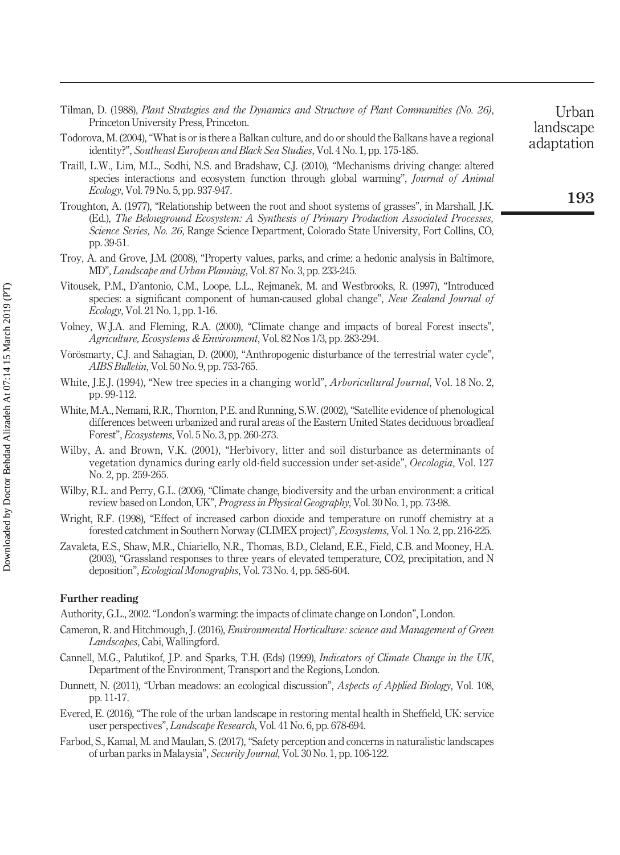- Todorova, M. (2004),"What is or is there a Balkan culture, and do or should the Balkans have a regional identity?", [Southeast European and Black Sea Studies](https://www.emeraldinsight.com/action/showLinks?doi=10.1108%2FIJCCSM-10-2017-0179&crossref=10.1080%2F14683850412331321788&citationId=p_94), Vol. 4 No. 1, pp. 175-185.
- Traill, L.W., Lim, M.L., Sodhi, N.S. and Bradshaw, C.J. (2010), "Mechanisms driving change: altered species interactions and ecosystem function through global warming", [Journal of Animal](https://www.emeraldinsight.com/action/showLinks?doi=10.1108%2FIJCCSM-10-2017-0179&crossref=10.1111%2Fj.1365-2656.2010.01695.x&isi=000280671000002&citationId=p_95) [Ecology](https://www.emeraldinsight.com/action/showLinks?doi=10.1108%2FIJCCSM-10-2017-0179&crossref=10.1111%2Fj.1365-2656.2010.01695.x&isi=000280671000002&citationId=p_95), Vol. 79 No. 5, pp. 937-947.
- Troughton, A. (1977), "Relationship between the root and shoot systems of grasses", in Marshall, J.K. (Ed.), The Belowground Ecosystem: A Synthesis of Primary Production Associated Processes, Science Series, No. 26, Range Science Department, Colorado State University, Fort Collins, CO, pp. 39-51.
- Troy, A. and Grove, J.M. (2008), "Property values, parks, and crime: a hedonic analysis in Baltimore, MD", [Landscape and Urban Planning](https://www.emeraldinsight.com/action/showLinks?doi=10.1108%2FIJCCSM-10-2017-0179&crossref=10.1016%2Fj.landurbplan.2008.06.005&isi=000259667800008&citationId=p_97), Vol. 87 No. 3, pp. 233-245.
- Vitousek, P.M., D'antonio, C.M., Loope, L.L., Rejmanek, M. and Westbrooks, R. (1997), "Introduced species: a significant component of human-caused global change", [New Zealand Journal of](https://www.emeraldinsight.com/action/showLinks?doi=10.1108%2FIJCCSM-10-2017-0179&isi=A1997XP01200001&citationId=p_98) [Ecology](https://www.emeraldinsight.com/action/showLinks?doi=10.1108%2FIJCCSM-10-2017-0179&isi=A1997XP01200001&citationId=p_98), Vol. 21 No. 1, pp. 1-16.
- Volney, W.J.A. and Fleming, R.A. (2000), "Climate change and impacts of boreal Forest insects", [Agriculture, Ecosystems & Environment](https://www.emeraldinsight.com/action/showLinks?doi=10.1108%2FIJCCSM-10-2017-0179&crossref=10.1016%2FS0167-8809%2800%2900232-2&isi=000165738700022&citationId=p_99), Vol. 82 Nos 1/3, pp. 283-294.
- Vörösmarty, C.J. and Sahagian, D. (2000), "Anthropogenic disturbance of the terrestrial water cycle", AIBS Bulletin, Vol. 50 No. 9, pp. 753-765.
- White, J.E.J. (1994), "New tree species in a changing world", [Arboricultural Journal](https://www.emeraldinsight.com/action/showLinks?doi=10.1108%2FIJCCSM-10-2017-0179&crossref=10.1080%2F03071375.1994.9747006&citationId=p_101), Vol. 18 No. 2, pp. 99-112.
- White, M.A., Nemani, R.R., Thornton, P.E. and Running, S.W. (2002), "Satellite evidence of phenological differences between urbanized and rural areas of the Eastern United States deciduous broadleaf Forest", [Ecosystems](https://www.emeraldinsight.com/action/showLinks?doi=10.1108%2FIJCCSM-10-2017-0179&crossref=10.1007%2Fs10021-001-0070-8&isi=000175709800004&citationId=p_102), Vol. 5 No. 3, pp. 260-273.
- Wilby, A. and Brown, V.K. (2001), "Herbivory, litter and soil disturbance as determinants of vegetation dynamics during early old-field succession under set-aside", [Oecologia](https://www.emeraldinsight.com/action/showLinks?doi=10.1108%2FIJCCSM-10-2017-0179&crossref=10.1007%2Fs004420000579&isi=000168395600015&citationId=p_103), Vol. 127 No. 2, pp. 259-265.
- Wilby, R.L. and Perry, G.L. (2006), "Climate change, biodiversity and the urban environment: a critical review based on London, UK", [Progress in Physical Geography](https://www.emeraldinsight.com/action/showLinks?doi=10.1108%2FIJCCSM-10-2017-0179&crossref=10.1191%2F0309133306pp470ra&isi=000236012300004&citationId=p_104), Vol. 30 No. 1, pp. 73-98.
- Wright, R.F. (1998), "Effect of increased carbon dioxide and temperature on runoff chemistry at a forested catchment in Southern Norway (CLIMEX project)", [Ecosystems](https://www.emeraldinsight.com/action/showLinks?doi=10.1108%2FIJCCSM-10-2017-0179&crossref=10.1007%2Fs100219900017&isi=000075676200008&citationId=p_105), Vol. 1 No. 2, pp. 216-225.
- Zavaleta, E.S., Shaw, M.R., Chiariello, N.R., Thomas, B.D., Cleland, E.E., Field, C.B. and Mooney, H.A. (2003), "Grassland responses to three years of elevated temperature, CO2, precipitation, and N deposition", [Ecological Monographs](https://www.emeraldinsight.com/action/showLinks?doi=10.1108%2FIJCCSM-10-2017-0179&crossref=10.1890%2F02-4053&isi=000187291000005&citationId=p_106), Vol. 73 No. 4, pp. 585-604.

#### Further reading

Authority, G.L., 2002."London's warming: the impacts of climate change on London", London.

- Cameron, R. and Hitchmough, J. (2016), Environmental Horticulture: science and Management of Green Landscapes, [Cabi, Wallingford.](https://www.emeraldinsight.com/action/showLinks?doi=10.1108%2FIJCCSM-10-2017-0179&crossref=10.1079%2F9781780641386.0000&citationId=p_108)
- Cannell, M.G., Palutikof, J.P. and Sparks, T.H. (Eds) (1999), Indicators of Climate Change in the UK, Department of the Environment, Transport and the Regions, London.
- Dunnett, N. (2011), "Urban meadows: an ecological discussion", Aspects of Applied Biology, Vol. 108, pp. 11-17.
- Evered, E. (2016), "The role of the urban landscape in restoring mental health in Sheffield, UK: service user perspectives", [Landscape Research](https://www.emeraldinsight.com/action/showLinks?doi=10.1108%2FIJCCSM-10-2017-0179&crossref=10.1080%2F01426397.2016.1197488&isi=000381036000008&citationId=p_111), Vol. 41 No. 6, pp. 678-694.
- Farbod, S., Kamal, M. and Maulan, S. (2017), "Safety perception and concerns in naturalistic landscapes of urban parks in Malaysia", [Security Journal](https://www.emeraldinsight.com/action/showLinks?doi=10.1108%2FIJCCSM-10-2017-0179&crossref=10.1057%2Fsj.2014.15&isi=000394522800007&citationId=p_112), Vol. 30 No. 1, pp. 106-122.

193